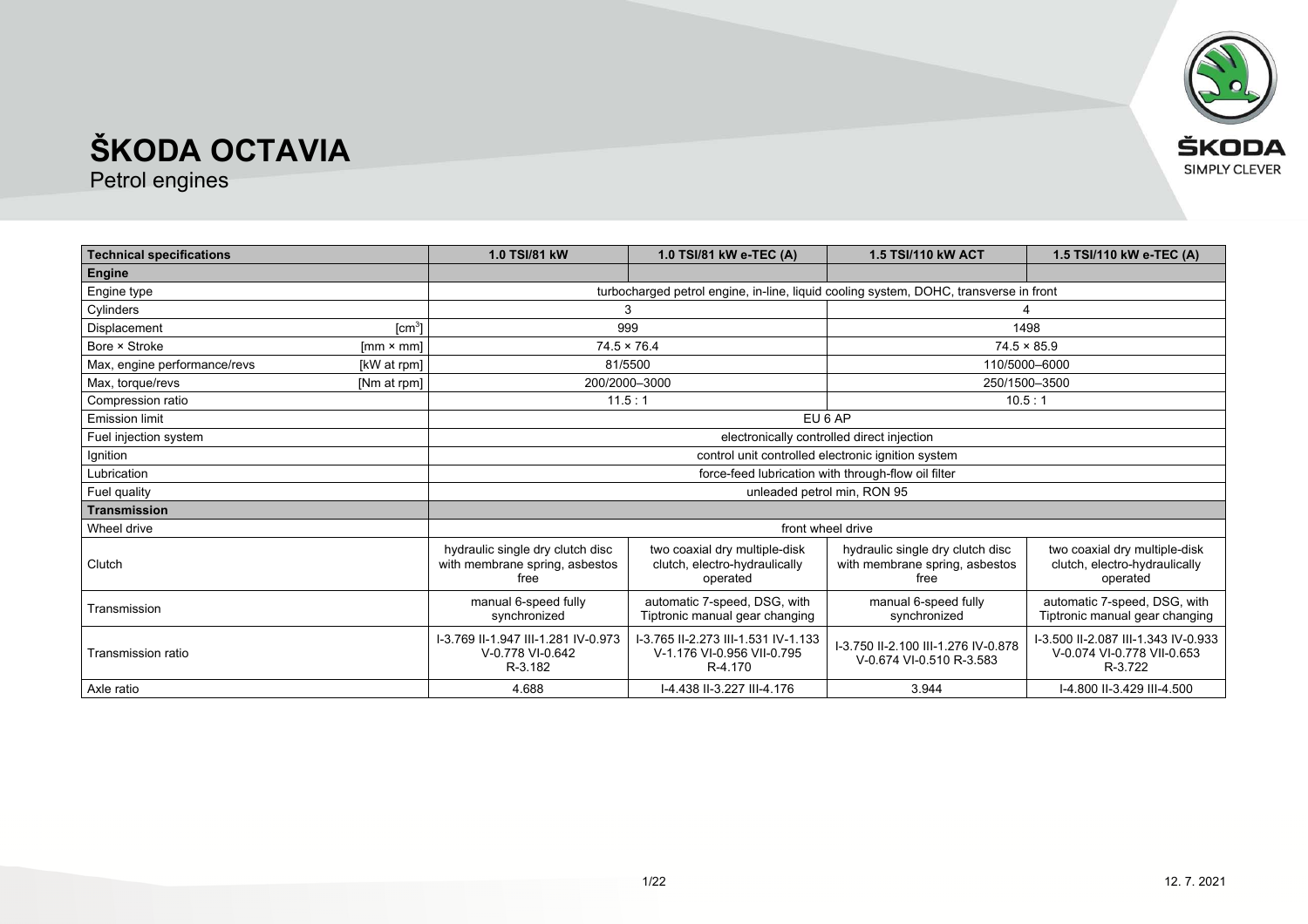

| <b>Technical specifications</b> |                    | 1.0 TSI/81 kW                                                              | 1.0 TSI/81 kW e-TEC (A)                                                               | 1.5 TSI/110 kW ACT                                                         | 1.5 TSI/110 kW e-TEC (A)                                                     |
|---------------------------------|--------------------|----------------------------------------------------------------------------|---------------------------------------------------------------------------------------|----------------------------------------------------------------------------|------------------------------------------------------------------------------|
| Engine                          |                    |                                                                            |                                                                                       |                                                                            |                                                                              |
| Engine type                     |                    |                                                                            | turbocharged petrol engine, in-line, liquid cooling system, DOHC, transverse in front |                                                                            |                                                                              |
| Cylinders                       |                    |                                                                            |                                                                                       |                                                                            |                                                                              |
| Displacement                    | [cm <sup>3</sup> ] |                                                                            | 999                                                                                   |                                                                            | 1498                                                                         |
| Bore × Stroke                   | $[mm \times mm]$   |                                                                            | $74.5 \times 76.4$                                                                    |                                                                            | $74.5 \times 85.9$                                                           |
| Max, engine performance/revs    | [kW at rpm]        |                                                                            | 81/5500                                                                               |                                                                            | 110/5000-6000                                                                |
| Max, torque/revs                | [Nm at rpm]        |                                                                            | 200/2000-3000                                                                         |                                                                            | 250/1500-3500                                                                |
| Compression ratio               |                    |                                                                            | 11.5:1                                                                                | 10.5:1                                                                     |                                                                              |
| <b>Emission limit</b>           |                    |                                                                            |                                                                                       | EU 6 AP                                                                    |                                                                              |
| Fuel injection system           |                    |                                                                            |                                                                                       | electronically controlled direct injection                                 |                                                                              |
| Ignition                        |                    |                                                                            |                                                                                       | control unit controlled electronic ignition system                         |                                                                              |
| Lubrication                     |                    | force-feed lubrication with through-flow oil filter                        |                                                                                       |                                                                            |                                                                              |
| Fuel quality                    |                    | unleaded petrol min, RON 95                                                |                                                                                       |                                                                            |                                                                              |
| Transmission                    |                    |                                                                            |                                                                                       |                                                                            |                                                                              |
| Wheel drive                     |                    |                                                                            |                                                                                       | front wheel drive                                                          |                                                                              |
| Clutch                          |                    | hydraulic single dry clutch disc<br>with membrane spring, asbestos<br>free | two coaxial dry multiple-disk<br>clutch, electro-hydraulically<br>operated            | hydraulic single dry clutch disc<br>with membrane spring, asbestos<br>free | two coaxial dry multiple-disk<br>clutch, electro-hydraulically<br>operated   |
| Transmission                    |                    | manual 6-speed fully<br>synchronized                                       | automatic 7-speed, DSG, with<br>Tiptronic manual gear changing                        | manual 6-speed fully<br>synchronized                                       | automatic 7-speed, DSG, with<br>Tiptronic manual gear changing               |
| Transmission ratio              |                    | I-3.769 II-1.947 III-1.281 IV-0.973<br>V-0.778 VI-0.642<br>R-3.182         | I-3.765 II-2.273 III-1.531 IV-1.133<br>V-1.176 VI-0.956 VII-0.795<br>R-4.170          | I-3.750 II-2.100 III-1.276 IV-0.878<br>V-0.674 VI-0.510 R-3.583            | I-3.500 II-2.087 III-1.343 IV-0.933<br>V-0.074 VI-0.778 VII-0.653<br>R-3.722 |
| Axle ratio                      |                    | 4.688                                                                      | I-4.438 II-3.227 III-4.176                                                            | 3.944                                                                      | I-4.800 II-3.429 III-4.500                                                   |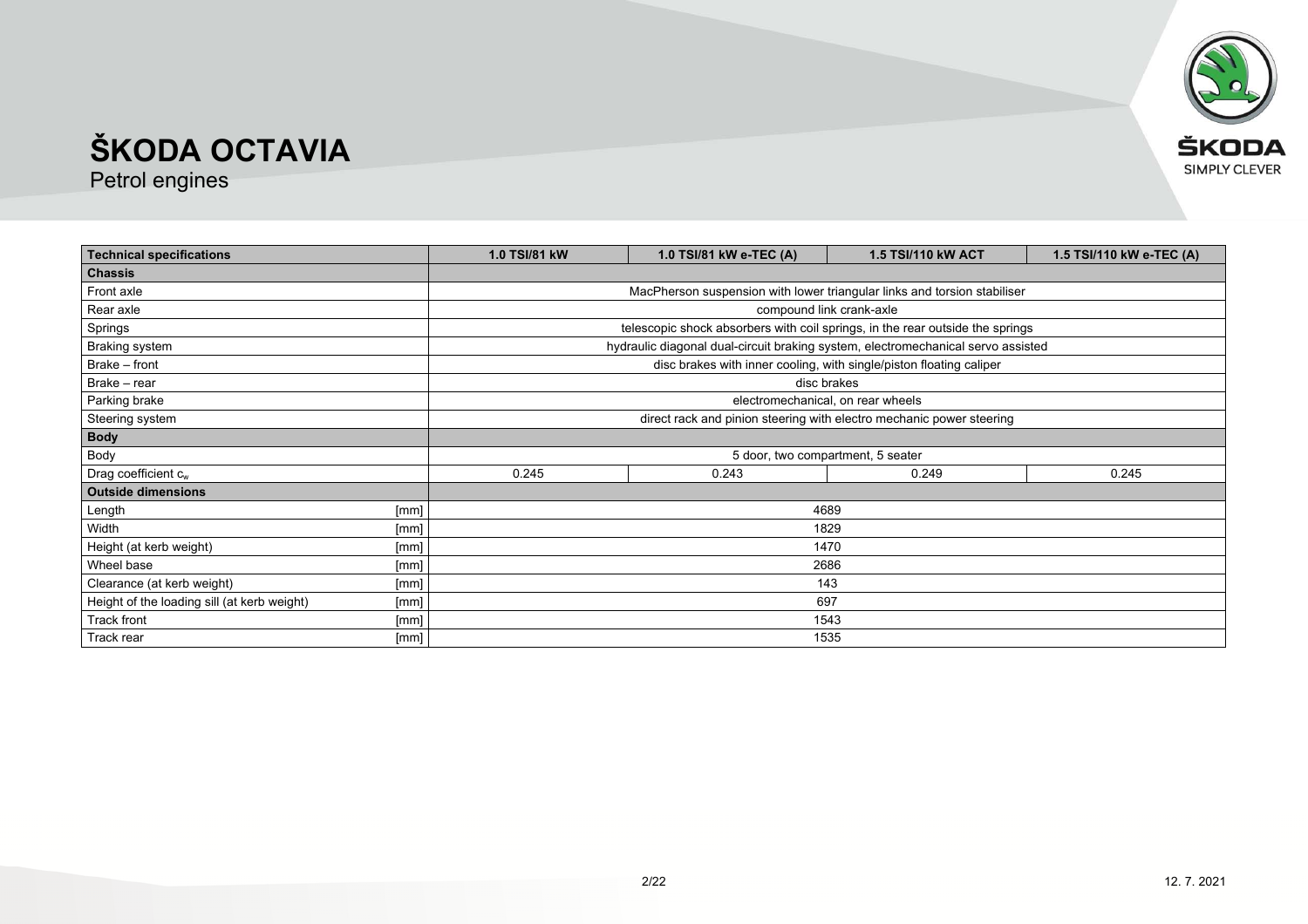

| <b>Technical specifications</b>             |      | 1.0 TSI/81 kW<br>1.0 TSI/81 kW e-TEC (A)<br>1.5 TSI/110 kW e-TEC (A)<br>1.5 TSI/110 kW ACT |                                                                                  |                                                                     |  |  |
|---------------------------------------------|------|--------------------------------------------------------------------------------------------|----------------------------------------------------------------------------------|---------------------------------------------------------------------|--|--|
| <b>Chassis</b>                              |      |                                                                                            |                                                                                  |                                                                     |  |  |
| Front axle                                  |      | MacPherson suspension with lower triangular links and torsion stabiliser                   |                                                                                  |                                                                     |  |  |
| Rear axle                                   |      |                                                                                            |                                                                                  | compound link crank-axle                                            |  |  |
| Springs                                     |      |                                                                                            | telescopic shock absorbers with coil springs, in the rear outside the springs    |                                                                     |  |  |
| <b>Braking system</b>                       |      |                                                                                            | hydraulic diagonal dual-circuit braking system, electromechanical servo assisted |                                                                     |  |  |
| Brake - front                               |      |                                                                                            |                                                                                  | disc brakes with inner cooling, with single/piston floating caliper |  |  |
| Brake - rear                                |      |                                                                                            |                                                                                  | disc brakes                                                         |  |  |
| Parking brake                               |      | electromechanical, on rear wheels                                                          |                                                                                  |                                                                     |  |  |
| Steering system                             |      | direct rack and pinion steering with electro mechanic power steering                       |                                                                                  |                                                                     |  |  |
| <b>Body</b>                                 |      |                                                                                            |                                                                                  |                                                                     |  |  |
| Body                                        |      | 5 door, two compartment, 5 seater                                                          |                                                                                  |                                                                     |  |  |
| Drag coefficient $c_w$                      |      | 0.245<br>0.249<br>0.243<br>0.245                                                           |                                                                                  |                                                                     |  |  |
| <b>Outside dimensions</b>                   |      |                                                                                            |                                                                                  |                                                                     |  |  |
| Length                                      | [mm] |                                                                                            |                                                                                  | 4689                                                                |  |  |
| Width                                       | [mm] | 1829                                                                                       |                                                                                  |                                                                     |  |  |
| Height (at kerb weight)                     | [mm] | 1470                                                                                       |                                                                                  |                                                                     |  |  |
| Wheel base                                  | [mm] | 2686                                                                                       |                                                                                  |                                                                     |  |  |
| Clearance (at kerb weight)                  | [mm] | 143                                                                                        |                                                                                  |                                                                     |  |  |
| Height of the loading sill (at kerb weight) | [mm] | 697                                                                                        |                                                                                  |                                                                     |  |  |
| Track front                                 | [mm] | 1543                                                                                       |                                                                                  |                                                                     |  |  |
| Track rear                                  | [mm] | 1535                                                                                       |                                                                                  |                                                                     |  |  |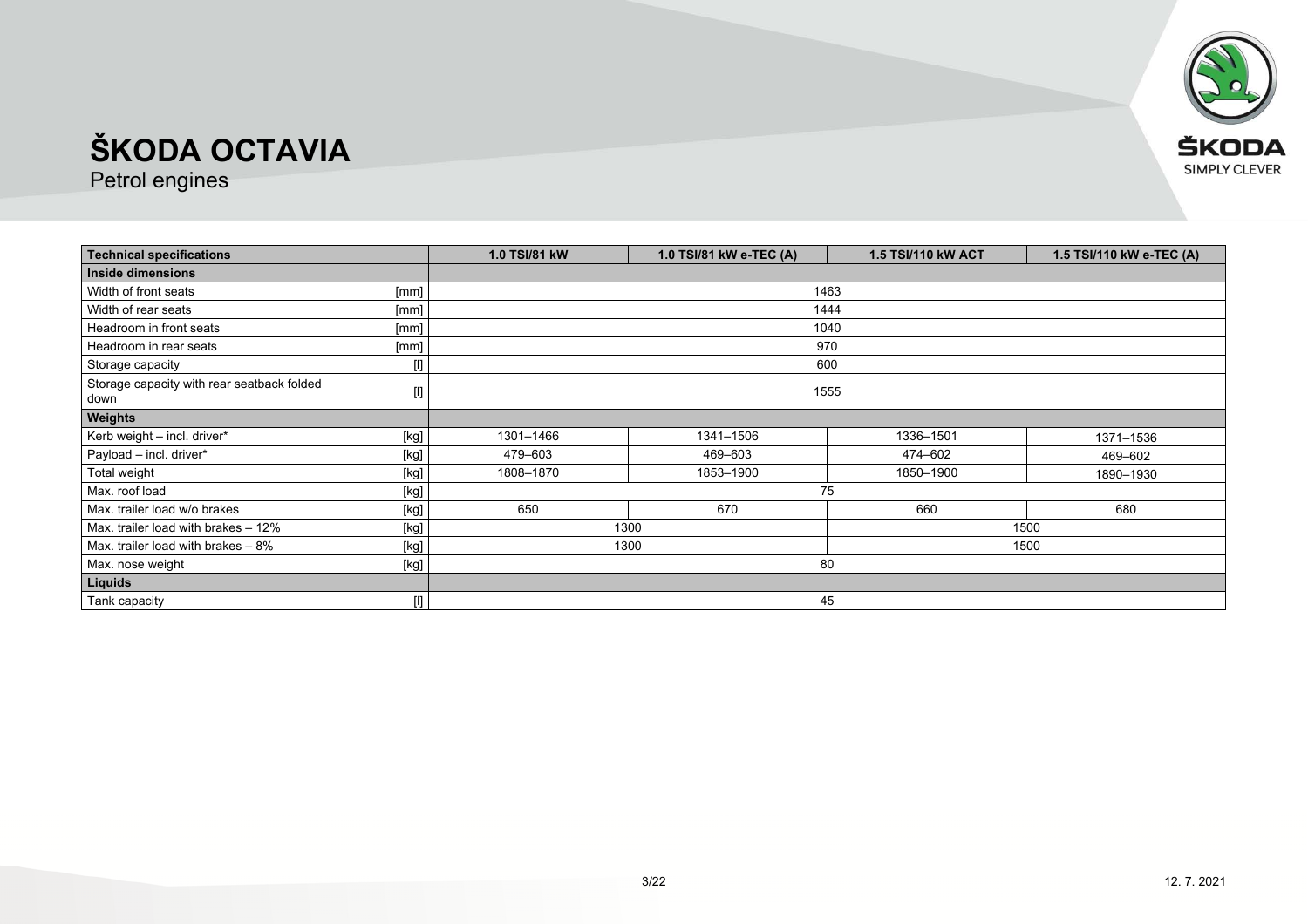

| <b>Technical specifications</b>                    |                                                                                                                                                                                                       | 1.0 TSI/81 kW | 1.0 TSI/81 kW e-TEC (A) | <b>1.5 TSI/110 kW ACT</b> | 1.5 TSI/110 kW e-TEC (A) |
|----------------------------------------------------|-------------------------------------------------------------------------------------------------------------------------------------------------------------------------------------------------------|---------------|-------------------------|---------------------------|--------------------------|
| Inside dimensions                                  |                                                                                                                                                                                                       |               |                         |                           |                          |
| Width of front seats                               | [mm]                                                                                                                                                                                                  | 1463          |                         |                           |                          |
| Width of rear seats                                | [mm]                                                                                                                                                                                                  |               | 1444                    |                           |                          |
| Headroom in front seats                            | [mm]                                                                                                                                                                                                  |               | 1040                    |                           |                          |
| Headroom in rear seats                             | [mm]                                                                                                                                                                                                  |               | 970                     |                           |                          |
| Storage capacity                                   | [l]                                                                                                                                                                                                   |               | 600                     |                           |                          |
| Storage capacity with rear seatback folded<br>down | $[] \centering \includegraphics[width=0.47\textwidth]{figs/fig_14-1000}} \caption{The 3D (black) model for the 3D (black) model. The 3D (black) model is shown in Fig.~\ref{fig:13}.} \label{fig:13}$ | 1555          |                         |                           |                          |
| <b>Weights</b>                                     |                                                                                                                                                                                                       |               |                         |                           |                          |
| Kerb weight - incl. driver*                        | [kg]                                                                                                                                                                                                  | 1301-1466     | 1341-1506               | 1336-1501                 | 1371-1536                |
| Payload - incl. driver*                            | [kg]                                                                                                                                                                                                  | 479-603       | 469-603                 | 474-602                   | 469-602                  |
| Total weight                                       | [kg]                                                                                                                                                                                                  | 1808-1870     | 1853-1900               | 1850-1900                 | 1890-1930                |
| Max. roof load                                     | [kg]                                                                                                                                                                                                  | 75            |                         |                           |                          |
| Max, trailer load w/o brakes                       | [kg]                                                                                                                                                                                                  | 650           | 670                     | 660                       | 680                      |
| Max. trailer load with brakes - 12%                | [kg]                                                                                                                                                                                                  | 1300<br>1500  |                         |                           |                          |
| Max. trailer load with brakes $-8\%$               | [kg]                                                                                                                                                                                                  | 1300<br>1500  |                         |                           |                          |
| Max. nose weight                                   | [kg]                                                                                                                                                                                                  | 80            |                         |                           |                          |
| Liquids                                            |                                                                                                                                                                                                       |               |                         |                           |                          |
| Tank capacity                                      |                                                                                                                                                                                                       |               | 45                      |                           |                          |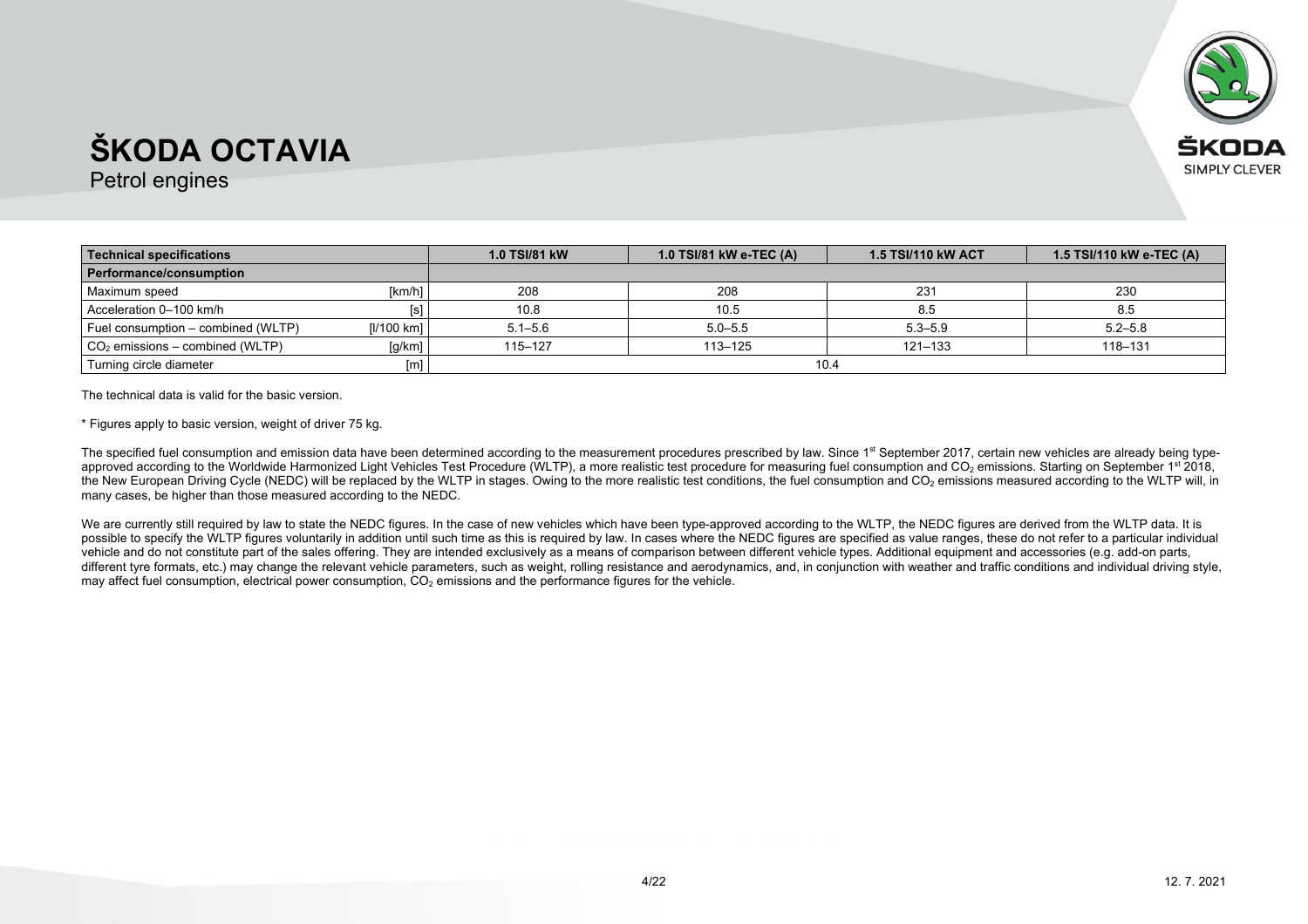

Petrol engines

| Technical specifications           |            | <b>1.0 TSI/81 kW</b> | 1.0 TSI/81 kW e-TEC (A) | <b>1.5 TSI/110 kW ACT</b> | 1.5 TSI/110 kW e-TEC (A) |
|------------------------------------|------------|----------------------|-------------------------|---------------------------|--------------------------|
| Performance/consumption            |            |                      |                         |                           |                          |
| Maximum speed                      | [km/h]     | 208                  | 208                     | 231                       | 230                      |
| Acceleration 0-100 km/h            |            | 10.8                 | 10.5                    | 8.5                       | 8.5                      |
| Fuel consumption – combined (WLTP) | [I/100 km] | $5.1 - 5.6$          | $5.0 - 5.5$             | $5.3 - 5.9$               | $5.2 - 5.8$              |
| $CO2$ emissions – combined (WLTP)  | [g/km]     | 115–127              | $113 - 125$             | $121 - 133$               | 118-131                  |
| Turning circle diameter            |            |                      | 10.4                    |                           |                          |

The technical data is valid for the basic version.

\* Figures apply to basic version, weight of driver 75 kg.

The specified fuel consumption and emission data have been determined according to the measurement procedures prescribed by law. Since 1<sup>st</sup> September 2017, certain new vehicles are already being typeapproved according to the Worldwide Harmonized Light Vehicles Test Procedure (WLTP), a more realistic test procedure for measuring fuel consumption and CO<sub>2</sub> emissions. Starting on September 1st 2018, the New European Driving Cycle (NEDC) will be replaced by the WLTP in stages. Owing to the more realistic test conditions, the fuel consumption and CO<sub>2</sub> emissions measured according to the WLTP will, in many cases, be higher than those measured according to the NEDC.

We are currently still required by law to state the NEDC figures. In the case of new vehicles which have been type-approved according to the WLTP, the NEDC figures are derived from the WLTP data. It is possible to specify the WLTP figures voluntarily in addition until such time as this is required by law. In cases where the NEDC figures are specified as value ranges, these do not refer to a particular individual vehicle and do not constitute part of the sales offering. They are intended exclusively as a means of comparison between different vehicle types. Additional equipment and accessories (e.g. add-on parts, different tyre formats, etc.) may change the relevant vehicle parameters, such as weight, rolling resistance and aerodynamics, and, in conjunction with weather and traffic conditions and individual driving style, may affect fuel consumption, electrical power consumption,  $CO<sub>2</sub>$  emissions and the performance figures for the vehicle.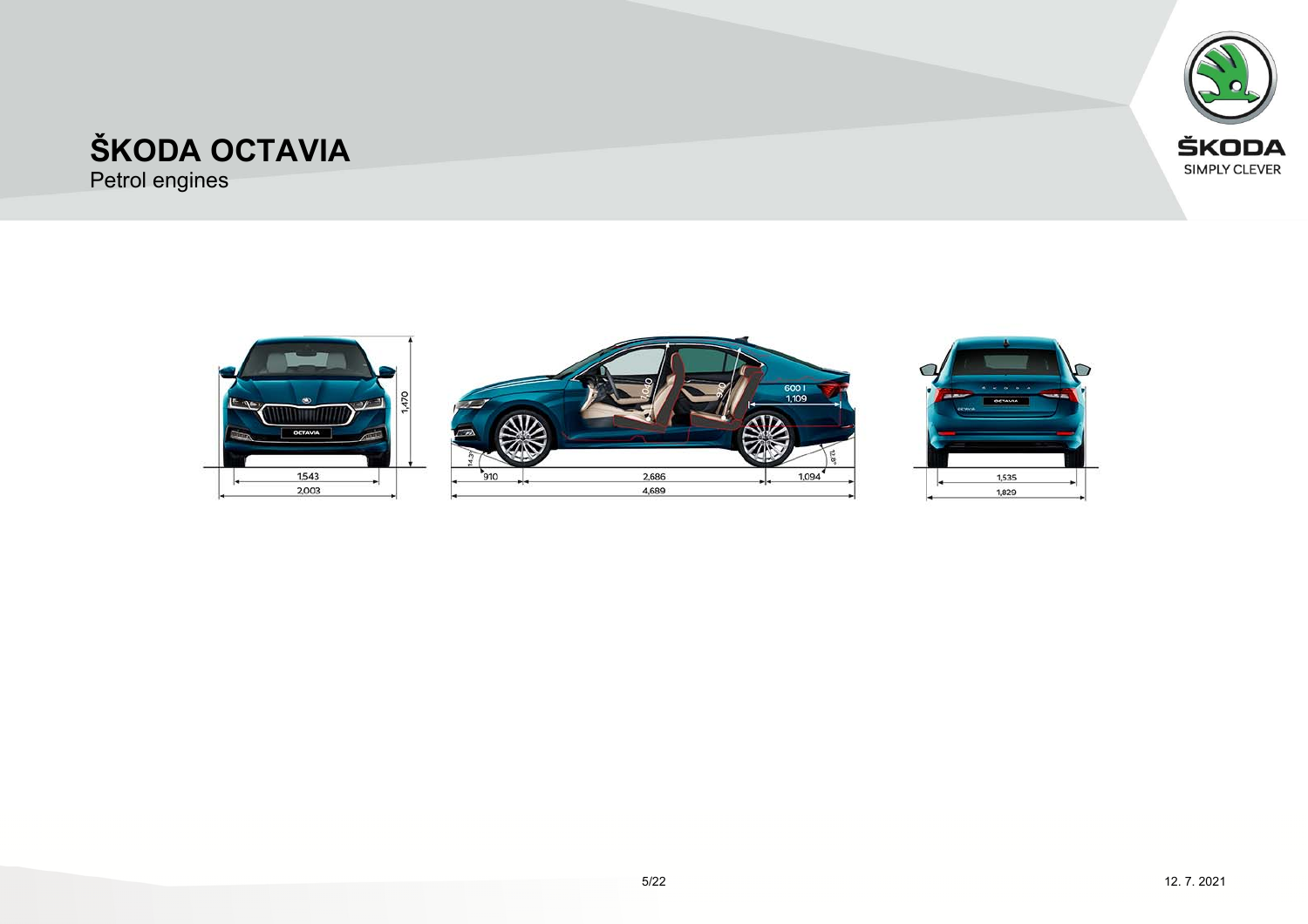



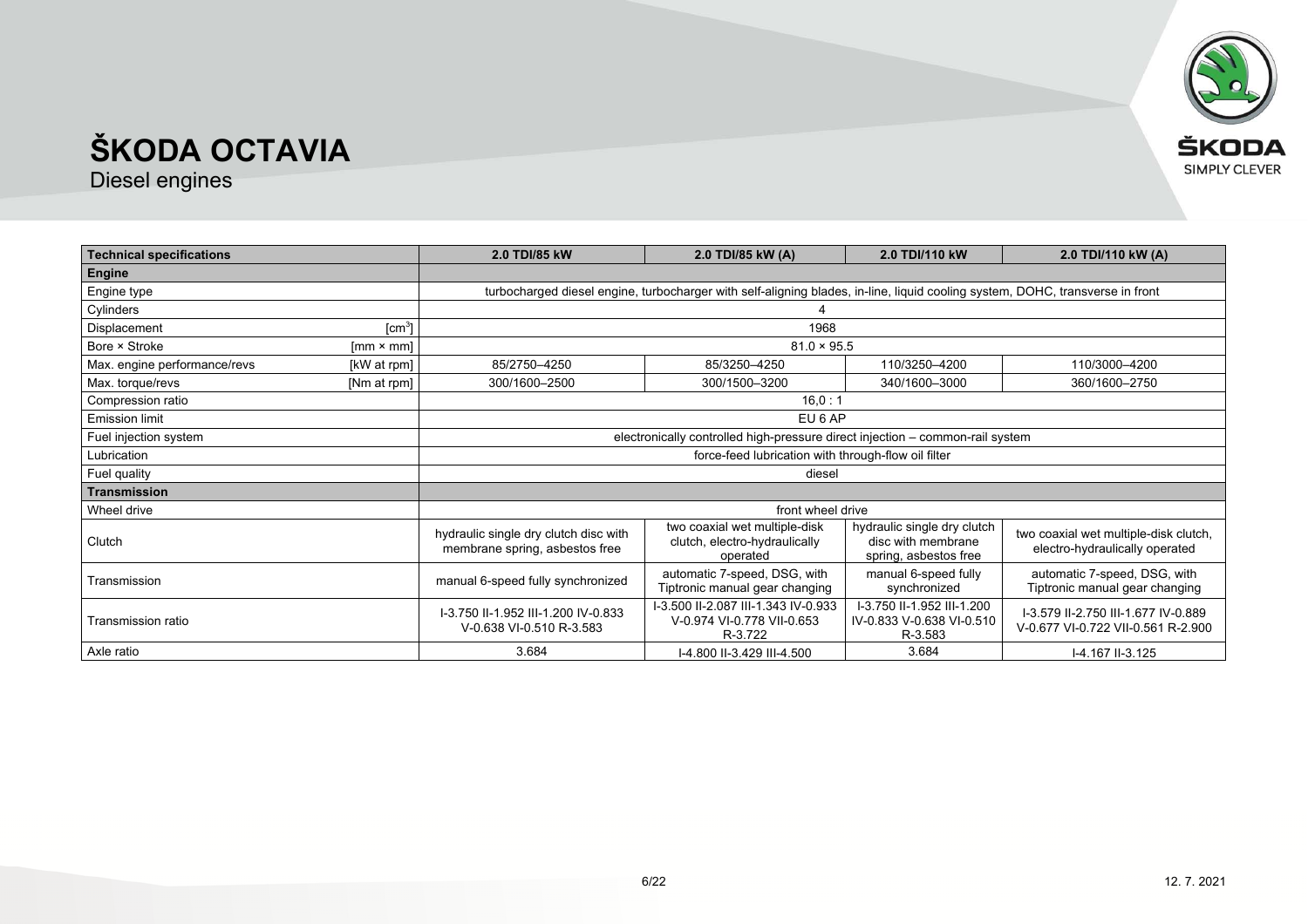

| <b>Technical specifications</b> |                        | 2.0 TDI/85 kW                                                           | 2.0 TDI/85 kW (A)                                                                                                             | 2.0 TDI/110 kW                                                             | 2.0 TDI/110 kW (A)                                                        |
|---------------------------------|------------------------|-------------------------------------------------------------------------|-------------------------------------------------------------------------------------------------------------------------------|----------------------------------------------------------------------------|---------------------------------------------------------------------------|
| Engine                          |                        |                                                                         |                                                                                                                               |                                                                            |                                                                           |
| Engine type                     |                        |                                                                         | turbocharged diesel engine, turbocharger with self-aligning blades, in-line, liquid cooling system, DOHC, transverse in front |                                                                            |                                                                           |
| Cylinders                       |                        |                                                                         |                                                                                                                               |                                                                            |                                                                           |
| Displacement                    | [cm <sup>3</sup> ]     |                                                                         | 1968                                                                                                                          |                                                                            |                                                                           |
| Bore × Stroke                   | ${\rm [mm \times mm]}$ |                                                                         | $81.0 \times 95.5$                                                                                                            |                                                                            |                                                                           |
| Max. engine performance/revs    | [kW at rpm]            | 85/2750-4250                                                            | 85/3250-4250                                                                                                                  | 110/3250-4200                                                              | 110/3000-4200                                                             |
| Max. torque/revs                | [Nm at rpm]            | 300/1600-2500                                                           | 300/1500-3200                                                                                                                 | 340/1600-3000                                                              | 360/1600-2750                                                             |
| Compression ratio               |                        |                                                                         | 16.0:1                                                                                                                        |                                                                            |                                                                           |
| <b>Emission limit</b>           |                        |                                                                         | EU 6 AP                                                                                                                       |                                                                            |                                                                           |
| Fuel injection system           |                        |                                                                         | electronically controlled high-pressure direct injection - common-rail system                                                 |                                                                            |                                                                           |
| Lubrication                     |                        |                                                                         | force-feed lubrication with through-flow oil filter                                                                           |                                                                            |                                                                           |
| Fuel quality                    |                        |                                                                         | diesel                                                                                                                        |                                                                            |                                                                           |
| Transmission                    |                        |                                                                         |                                                                                                                               |                                                                            |                                                                           |
| Wheel drive                     |                        |                                                                         | front wheel drive                                                                                                             |                                                                            |                                                                           |
| Clutch                          |                        | hydraulic single dry clutch disc with<br>membrane spring, asbestos free | two coaxial wet multiple-disk<br>clutch, electro-hydraulically<br>operated                                                    | hydraulic single dry clutch<br>disc with membrane<br>spring, asbestos free | two coaxial wet multiple-disk clutch,<br>electro-hydraulically operated   |
| Transmission                    |                        | manual 6-speed fully synchronized                                       | automatic 7-speed, DSG, with<br>Tiptronic manual gear changing                                                                | manual 6-speed fully<br>synchronized                                       | automatic 7-speed, DSG, with<br>Tiptronic manual gear changing            |
| Transmission ratio              |                        | I-3.750 II-1.952 III-1.200 IV-0.833<br>V-0.638 VI-0.510 R-3.583         | I-3.500 II-2.087 III-1.343 IV-0.933<br>V-0.974 VI-0.778 VII-0.653<br>R-3.722                                                  | I-3.750 II-1.952 III-1.200<br>IV-0.833 V-0.638 VI-0.510<br>R-3.583         | I-3.579 II-2.750 III-1.677 IV-0.889<br>V-0.677 VI-0.722 VII-0.561 R-2.900 |
| Axle ratio                      |                        | 3.684                                                                   | I-4.800 II-3.429 III-4.500                                                                                                    | 3.684                                                                      | I-4.167 II-3.125                                                          |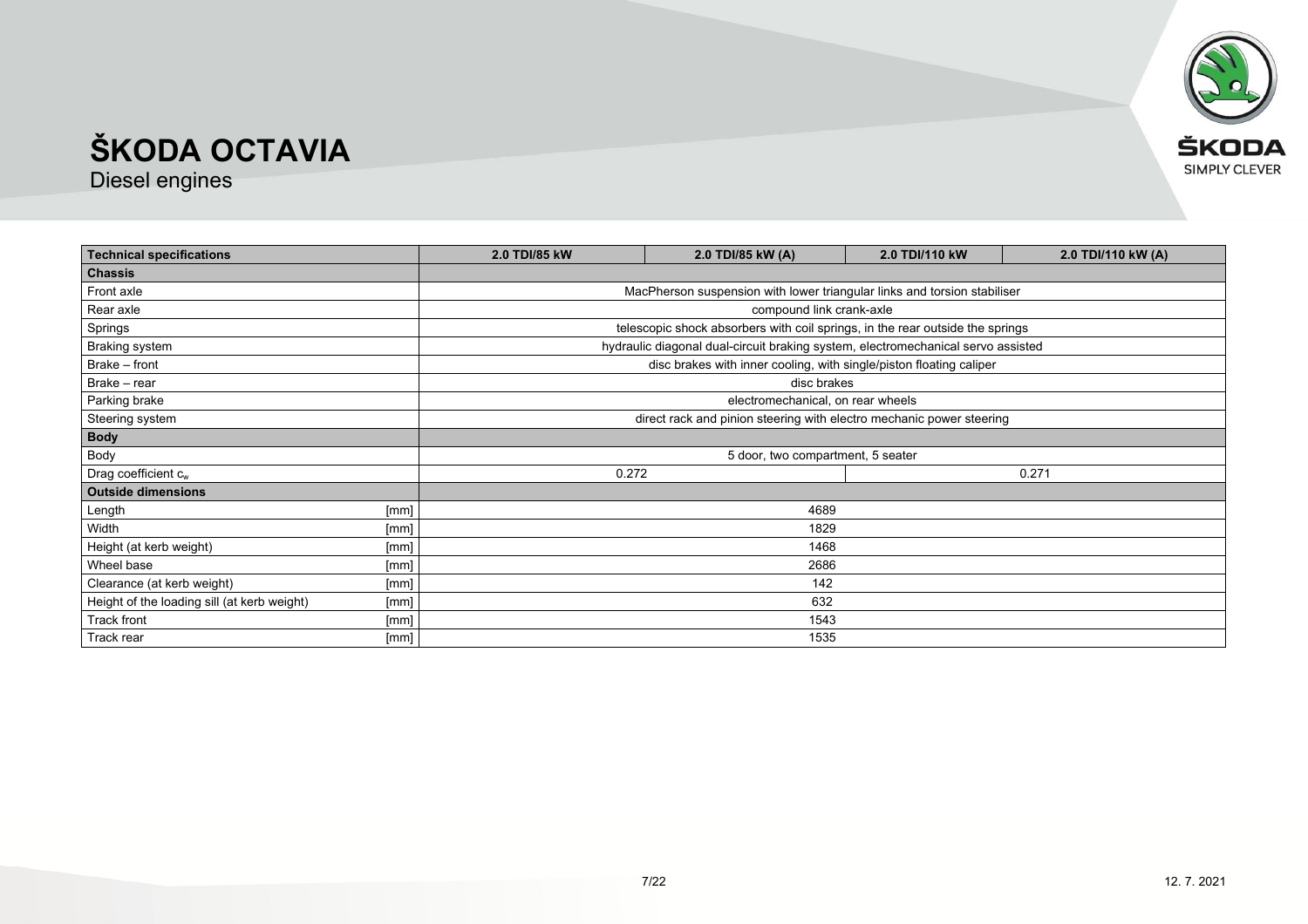

| <b>Technical specifications</b>             |      | 2.0 TDI/85 kW<br>2.0 TDI/85 kW (A)<br>2.0 TDI/110 kW (A)<br>2.0 TDI/110 kW |                                                                                  |  |  |
|---------------------------------------------|------|----------------------------------------------------------------------------|----------------------------------------------------------------------------------|--|--|
| <b>Chassis</b>                              |      |                                                                            |                                                                                  |  |  |
| Front axle                                  |      |                                                                            | MacPherson suspension with lower triangular links and torsion stabiliser         |  |  |
| Rear axle                                   |      |                                                                            | compound link crank-axle                                                         |  |  |
| Springs                                     |      |                                                                            | telescopic shock absorbers with coil springs, in the rear outside the springs    |  |  |
| <b>Braking system</b>                       |      |                                                                            | hydraulic diagonal dual-circuit braking system, electromechanical servo assisted |  |  |
| Brake - front                               |      |                                                                            | disc brakes with inner cooling, with single/piston floating caliper              |  |  |
| Brake - rear                                |      |                                                                            | disc brakes                                                                      |  |  |
| Parking brake                               |      |                                                                            | electromechanical, on rear wheels                                                |  |  |
| Steering system                             |      | direct rack and pinion steering with electro mechanic power steering       |                                                                                  |  |  |
| <b>Body</b>                                 |      |                                                                            |                                                                                  |  |  |
| Body                                        |      | 5 door, two compartment, 5 seater                                          |                                                                                  |  |  |
| Drag coefficient $c_w$                      |      | 0.272<br>0.271                                                             |                                                                                  |  |  |
| <b>Outside dimensions</b>                   |      |                                                                            |                                                                                  |  |  |
| Length                                      | [mm] |                                                                            | 4689                                                                             |  |  |
| Width                                       | [mm] |                                                                            | 1829                                                                             |  |  |
| Height (at kerb weight)                     | [mm] | 1468                                                                       |                                                                                  |  |  |
| Wheel base                                  | [mm] | 2686                                                                       |                                                                                  |  |  |
| Clearance (at kerb weight)                  | [mm] | 142                                                                        |                                                                                  |  |  |
| Height of the loading sill (at kerb weight) | [mm] | 632                                                                        |                                                                                  |  |  |
| Track front                                 | [mm] | 1543                                                                       |                                                                                  |  |  |
| Track rear                                  | [mm] |                                                                            | 1535                                                                             |  |  |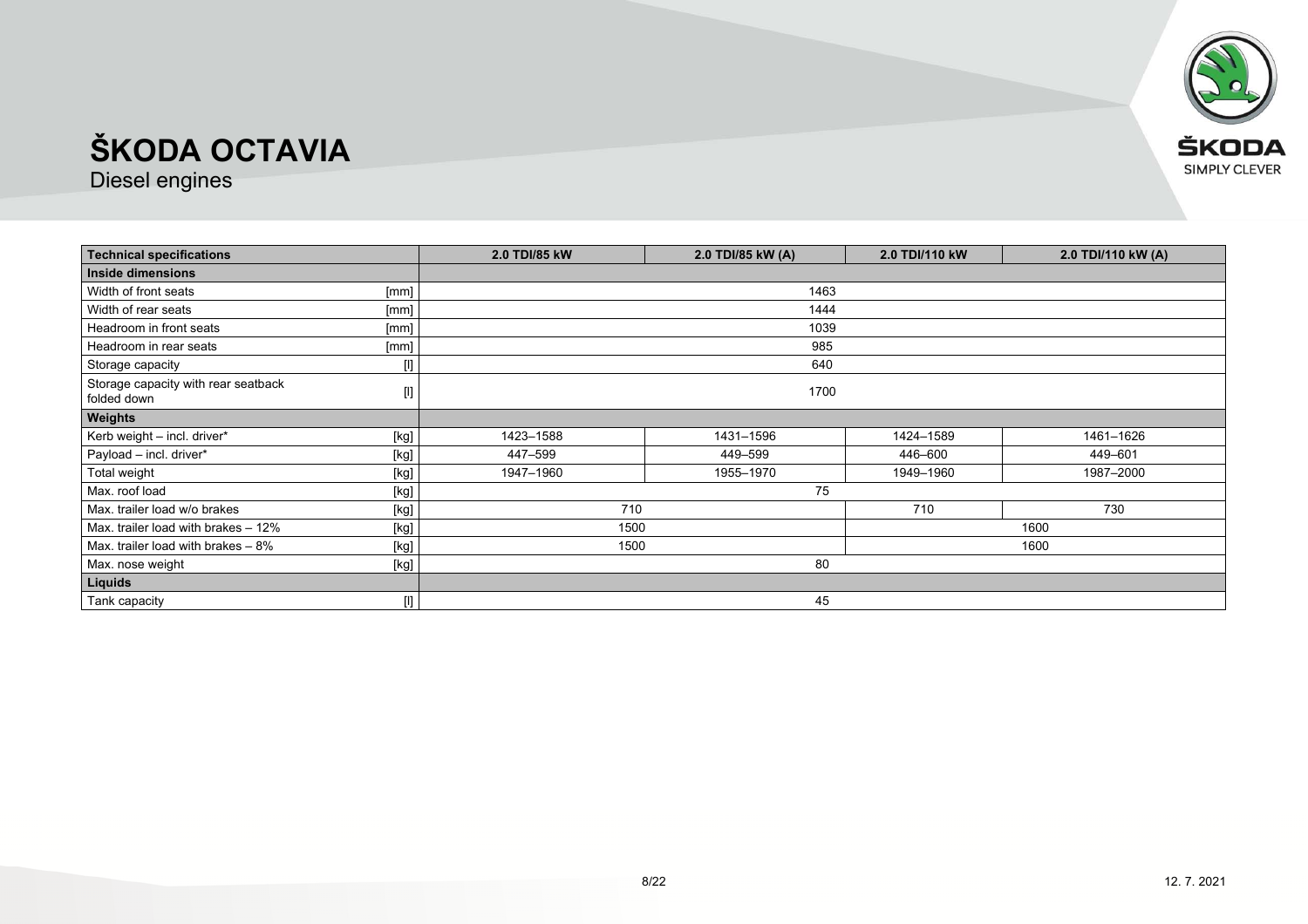

| <b>Technical specifications</b>                    |                                                                                                                                                                                                                                                                                                                                                                                                                                                                                                                                                                                                                                                                    | 2.0 TDI/85 kW | 2.0 TDI/85 kW (A) | 2.0 TDI/110 kW | 2.0 TDI/110 kW (A) |
|----------------------------------------------------|--------------------------------------------------------------------------------------------------------------------------------------------------------------------------------------------------------------------------------------------------------------------------------------------------------------------------------------------------------------------------------------------------------------------------------------------------------------------------------------------------------------------------------------------------------------------------------------------------------------------------------------------------------------------|---------------|-------------------|----------------|--------------------|
| Inside dimensions                                  |                                                                                                                                                                                                                                                                                                                                                                                                                                                                                                                                                                                                                                                                    |               |                   |                |                    |
| Width of front seats                               | [mm]                                                                                                                                                                                                                                                                                                                                                                                                                                                                                                                                                                                                                                                               | 1463          |                   |                |                    |
| Width of rear seats                                | [mm]                                                                                                                                                                                                                                                                                                                                                                                                                                                                                                                                                                                                                                                               |               | 1444              |                |                    |
| Headroom in front seats                            | [mm]                                                                                                                                                                                                                                                                                                                                                                                                                                                                                                                                                                                                                                                               |               | 1039              |                |                    |
| Headroom in rear seats                             | [mm]                                                                                                                                                                                                                                                                                                                                                                                                                                                                                                                                                                                                                                                               |               | 985               |                |                    |
| Storage capacity                                   | $[] \centering \includegraphics[width=0.47\textwidth]{images/TrDiM1.png} \caption{The 3D (top) and 4D (bottom) are shown in the left and right.} \label{TrDiM1}$                                                                                                                                                                                                                                                                                                                                                                                                                                                                                                   |               | 640               |                |                    |
| Storage capacity with rear seatback<br>folded down | $[] \centering \includegraphics[width=0.47\textwidth]{figs/fig_1002-1000}}% \caption{The 3D (upper panel) of the estimators in the left panel. The left panel shows the number of different lines in the right panel. The right panel shows the number of different lines in the right panel.} \label{fig:fig:1}$                                                                                                                                                                                                                                                                                                                                                  | 1700          |                   |                |                    |
| Weights                                            |                                                                                                                                                                                                                                                                                                                                                                                                                                                                                                                                                                                                                                                                    |               |                   |                |                    |
| Kerb weight - incl. driver*                        | [kg]                                                                                                                                                                                                                                                                                                                                                                                                                                                                                                                                                                                                                                                               | 1423-1588     | 1431-1596         | 1424-1589      | 1461-1626          |
| Payload - incl. driver*                            | [kg]                                                                                                                                                                                                                                                                                                                                                                                                                                                                                                                                                                                                                                                               | 447-599       | 449–599           | 446-600        | 449-601            |
| Total weight                                       | $[kg] % \begin{center} % \includegraphics[width=\linewidth]{imagesSupplemental_3.png} % \end{center} % \caption { % \textit{DefNet} of the \textit{DefNet} dataset. % Note that the \textit{DefNet} and \textit{DefNet} dataset. % Note that the \textit{DefNet} and \textit{DefNet} dataset. % Note that the \textit{DefNet} and \textit{DefNet} dataset. % Note that the \textit{DefNet} and \textit{DefNet} dataset. % Note that the \textit{DefNet} and \textit{DefNet} dataset. % Note that the \textit{DefNet} and \textit{DefNet} dataset. % Note that the \textit{DefNet} and \textit{DefNet} dataset. % Note that the \textit{DefNet} and \textit{DefNet$ | 1947-1960     | 1955-1970         | 1949-1960      | 1987-2000          |
| Max. roof load                                     | [kg]                                                                                                                                                                                                                                                                                                                                                                                                                                                                                                                                                                                                                                                               | 75            |                   |                |                    |
| Max, trailer load w/o brakes                       | $[kg] % \begin{center} % \includegraphics[width=\linewidth]{imagesSupplemental_3.png} % \end{center} % \caption { % \textit{DefNet} of the \textit{DefNet} dataset. % Note that the \textit{DefNet} and \textit{DefNet} dataset. % Note that the \textit{DefNet} and \textit{DefNet} dataset. % Note that the \textit{DefNet} and \textit{DefNet} dataset. % Note that the \textit{DefNet} and \textit{DefNet} dataset. % Note that the \textit{DefNet} and \textit{DefNet} dataset. % Note that the \textit{DefNet} and \textit{DefNet} dataset. % Note that the \textit{DefNet} and \textit{DefNet} dataset. % Note that the \textit{DefNet} and \textit{DefNet$ | 710           |                   | 710            | 730                |
| Max. trailer load with brakes - 12%                | $[kg] % \begin{center} % \includegraphics[width=\linewidth]{imagesSupplemental_3.png} % \end{center} % \caption { % \textit{DefNet} of the \textit{DefNet} dataset. % Note that the \textit{DefNet} and \textit{DefNet} dataset. % Note that the \textit{DefNet} and \textit{DefNet} dataset. % Note that the \textit{DefNet} and \textit{DefNet} dataset. % Note that the \textit{DefNet} and \textit{DefNet} dataset. % Note that the \textit{DefNet} and \textit{DefNet} dataset. % Note that the \textit{DefNet} and \textit{DefNet} dataset. % Note that the \textit{DefNet} and \textit{DefNet} dataset. % Note that the \textit{DefNet} and \textit{DefNet$ | 1500          |                   | 1600           |                    |
| Max. trailer load with brakes $-8\%$               | [kg]                                                                                                                                                                                                                                                                                                                                                                                                                                                                                                                                                                                                                                                               | 1500          |                   | 1600           |                    |
| Max. nose weight                                   | $[kg] % \begin{center} % \includegraphics[width=\linewidth]{imagesSupplemental_3.png} % \end{center} % \caption { % \textit{DefNet} of the \textit{DefNet} dataset. % Note that the \textit{DefNet} and \textit{DefNet} dataset. % Note that the \textit{DefNet} and \textit{DefNet} dataset. % Note that the \textit{DefNet} and \textit{DefNet} dataset. % Note that the \textit{DefNet} and \textit{DefNet} dataset. % Note that the \textit{DefNet} and \textit{DefNet} dataset. % Note that the \textit{DefNet} and \textit{DefNet} dataset. % Note that the \textit{DefNet} and \textit{DefNet} dataset. % Note that the \textit{DefNet} and \textit{DefNet$ | 80            |                   |                |                    |
| Liquids                                            |                                                                                                                                                                                                                                                                                                                                                                                                                                                                                                                                                                                                                                                                    |               |                   |                |                    |
| Tank capacity                                      | $[] \centering \includegraphics[width=0.47\textwidth]{images/TrDiM1.png} \caption{The 3D (black) model for a different region of the parameter $\Omega$.} \label{fig:TrDiM1.png}$                                                                                                                                                                                                                                                                                                                                                                                                                                                                                  |               | 45                |                |                    |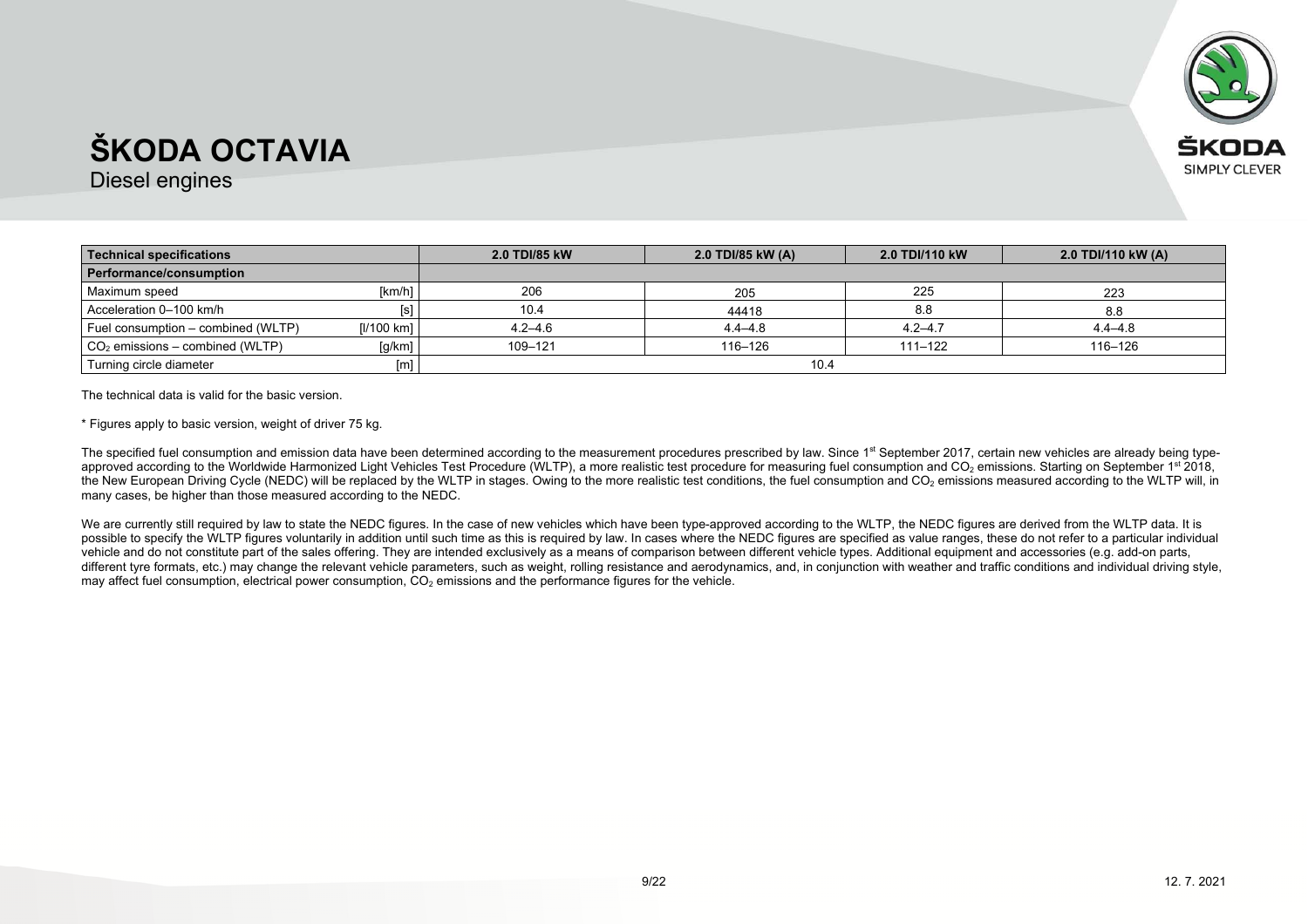

Diesel engines

| Technical specifications           |            | 2.0 TDI/85 kW | 2.0 TDI/85 kW (A) | 2.0 TDI/110 kW | 2.0 TDI/110 kW (A) |
|------------------------------------|------------|---------------|-------------------|----------------|--------------------|
| Performance/consumption            |            |               |                   |                |                    |
| Maximum speed                      | [km/h]     | 206           | 205               | 225            | 223                |
| Acceleration 0-100 km/h            | [s]        | 10.4          | 44418             | 8.8            | 8.8                |
| Fuel consumption – combined (WLTP) | [l/100 km] | $4.2 - 4.6$   | $4.4 - 4.8$       | $4.2 - 4.7$    | $4.4 - 4.8$        |
| $CO2$ emissions – combined (WLTP)  | [g/km]     | 109-121       | 116-126           | 111-122        | 116-126            |
| Turning circle diameter            | [m]        |               | 10.4              |                |                    |

The technical data is valid for the basic version.

\* Figures apply to basic version, weight of driver 75 kg.

The specified fuel consumption and emission data have been determined according to the measurement procedures prescribed by law. Since 1<sup>st</sup> September 2017, certain new vehicles are already being typeapproved according to the Worldwide Harmonized Light Vehicles Test Procedure (WLTP), a more realistic test procedure for measuring fuel consumption and CO<sub>2</sub> emissions. Starting on September 1st 2018, the New European Driving Cycle (NEDC) will be replaced by the WLTP in stages. Owing to the more realistic test conditions, the fuel consumption and CO<sub>2</sub> emissions measured according to the WLTP will, in many cases, be higher than those measured according to the NEDC.

We are currently still required by law to state the NEDC figures. In the case of new vehicles which have been type-approved according to the WLTP, the NEDC figures are derived from the WLTP data. It is possible to specify the WLTP figures voluntarily in addition until such time as this is required by law. In cases where the NEDC figures are specified as value ranges, these do not refer to a particular individual vehicle and do not constitute part of the sales offering. They are intended exclusively as a means of comparison between different vehicle types. Additional equipment and accessories (e.g. add-on parts, different tyre formats, etc.) may change the relevant vehicle parameters, such as weight, rolling resistance and aerodynamics, and, in conjunction with weather and traffic conditions and individual driving style, may affect fuel consumption, electrical power consumption,  $CO<sub>2</sub>$  emissions and the performance figures for the vehicle.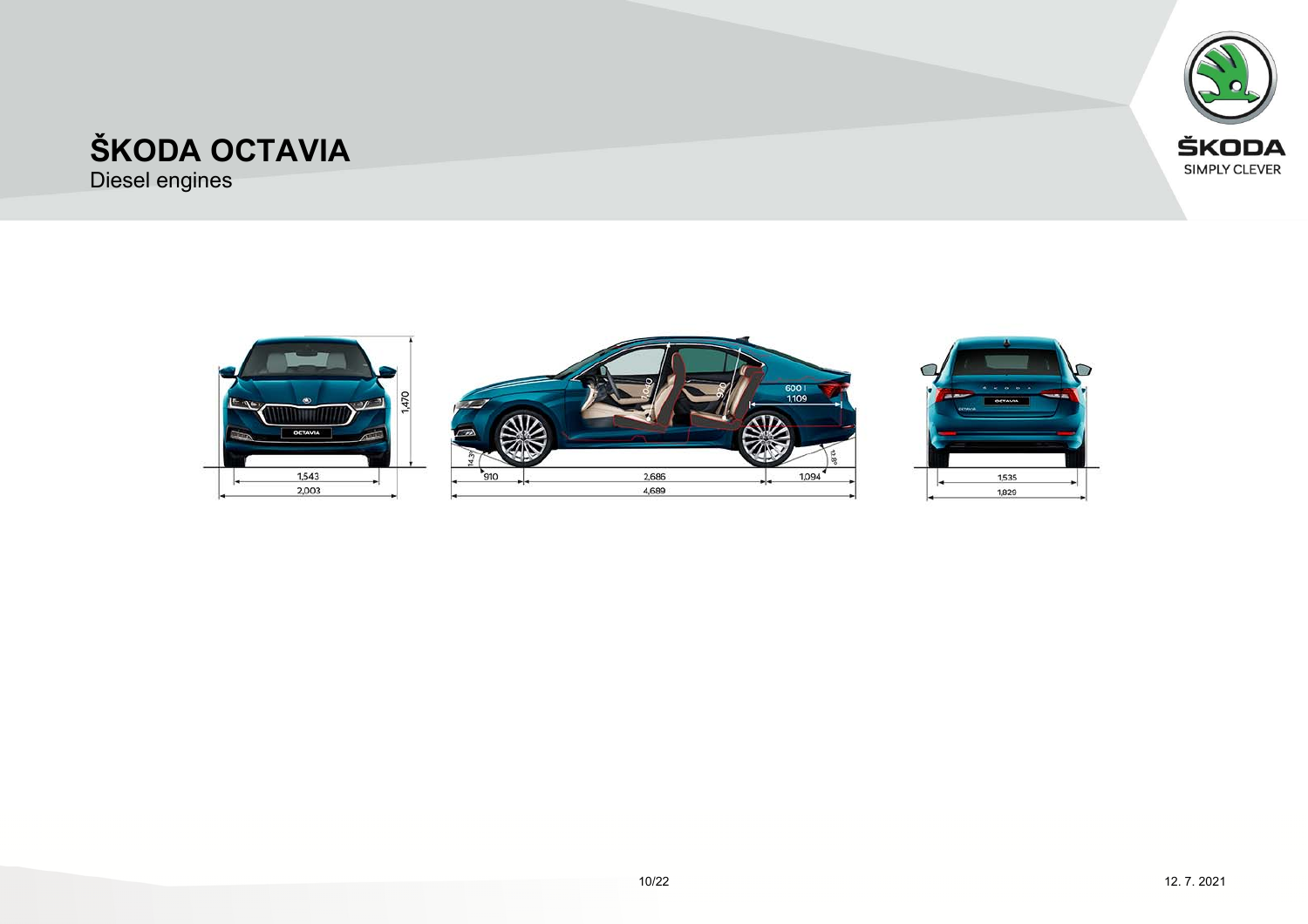

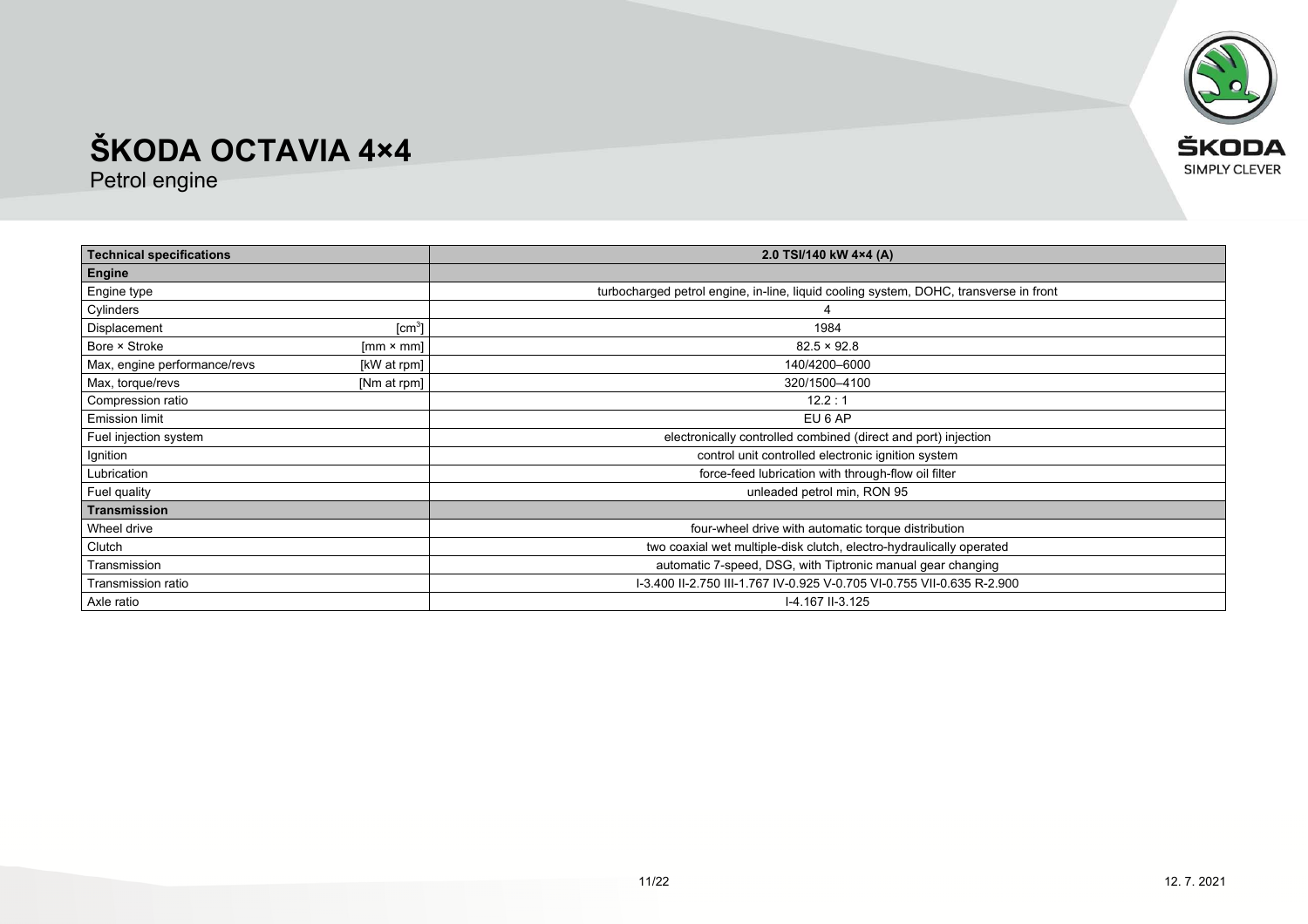

| <b>Technical specifications</b> |                    | 2.0 TSI/140 kW 4×4 (A)                                                                |
|---------------------------------|--------------------|---------------------------------------------------------------------------------------|
| Engine                          |                    |                                                                                       |
| Engine type                     |                    | turbocharged petrol engine, in-line, liquid cooling system, DOHC, transverse in front |
| Cylinders                       |                    |                                                                                       |
| Displacement                    | [cm <sup>3</sup> ] | 1984                                                                                  |
| Bore × Stroke                   | $[mm \times mm]$   | $82.5 \times 92.8$                                                                    |
| Max, engine performance/revs    | [kW at rpm]        | 140/4200-6000                                                                         |
| Max, torque/revs                | [Nm at rpm]        | 320/1500-4100                                                                         |
| Compression ratio               |                    | 12.2:1                                                                                |
| <b>Emission limit</b>           |                    | EU 6 AP                                                                               |
| Fuel injection system           |                    | electronically controlled combined (direct and port) injection                        |
| Ignition                        |                    | control unit controlled electronic ignition system                                    |
| Lubrication                     |                    | force-feed lubrication with through-flow oil filter                                   |
| Fuel quality                    |                    | unleaded petrol min, RON 95                                                           |
| <b>Transmission</b>             |                    |                                                                                       |
| Wheel drive                     |                    | four-wheel drive with automatic torque distribution                                   |
| Clutch                          |                    | two coaxial wet multiple-disk clutch, electro-hydraulically operated                  |
| Transmission                    |                    | automatic 7-speed, DSG, with Tiptronic manual gear changing                           |
| Transmission ratio              |                    | I-3.400 II-2.750 III-1.767 IV-0.925 V-0.705 VI-0.755 VII-0.635 R-2.900                |
| Axle ratio                      |                    | I-4.167 II-3.125                                                                      |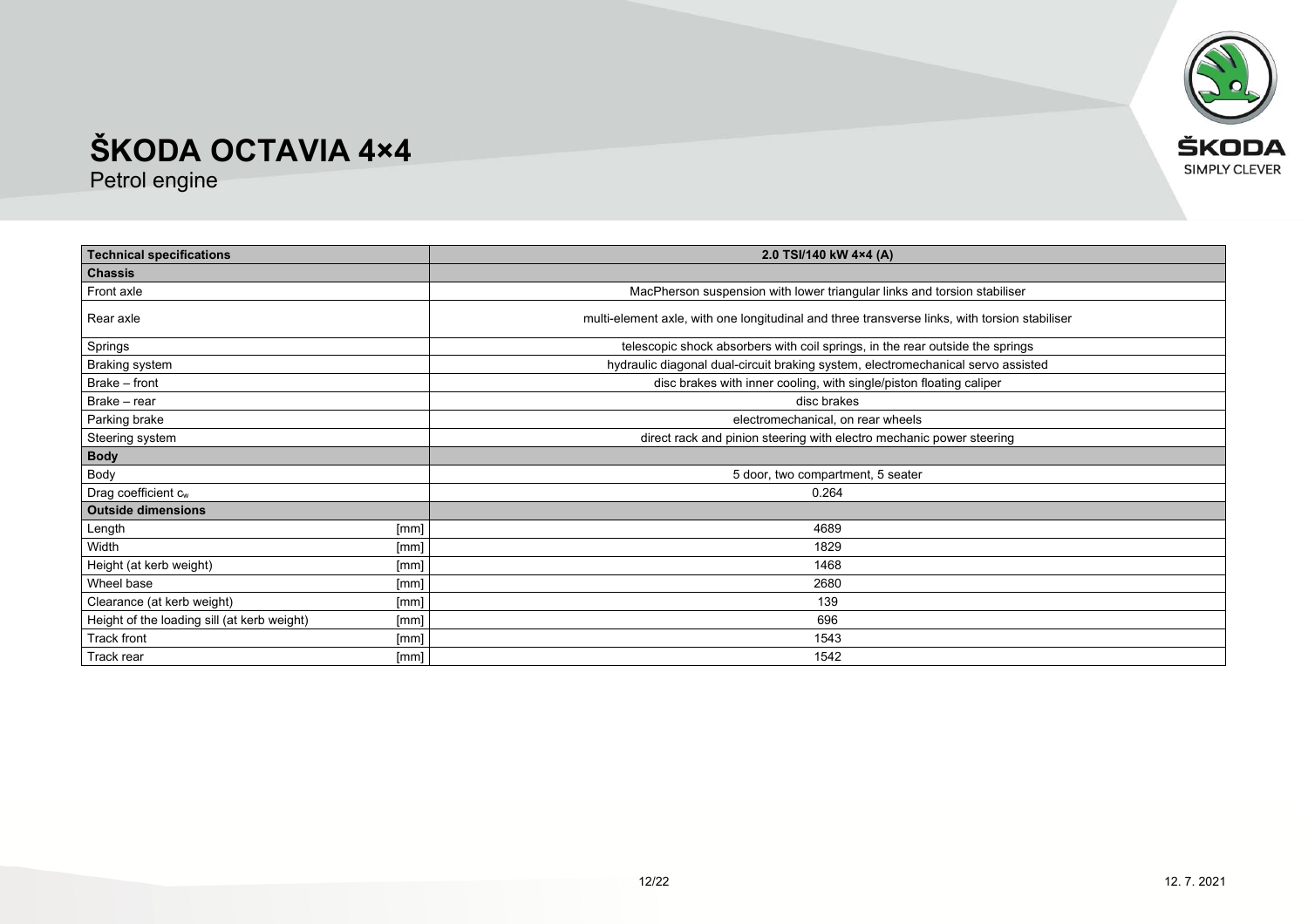

| <b>Technical specifications</b>                     | 2.0 TSI/140 kW 4×4 (A)                                                                        |
|-----------------------------------------------------|-----------------------------------------------------------------------------------------------|
| <b>Chassis</b>                                      |                                                                                               |
| Front axle                                          | MacPherson suspension with lower triangular links and torsion stabiliser                      |
| Rear axle                                           | multi-element axle, with one longitudinal and three transverse links, with torsion stabiliser |
| Springs                                             | telescopic shock absorbers with coil springs, in the rear outside the springs                 |
| Braking system                                      | hydraulic diagonal dual-circuit braking system, electromechanical servo assisted              |
| Brake - front                                       | disc brakes with inner cooling, with single/piston floating caliper                           |
| Brake - rear                                        | disc brakes                                                                                   |
| Parking brake                                       | electromechanical, on rear wheels                                                             |
| Steering system                                     | direct rack and pinion steering with electro mechanic power steering                          |
| <b>Body</b>                                         |                                                                                               |
| Body                                                | 5 door, two compartment, 5 seater                                                             |
| Drag coefficient cw                                 | 0.264                                                                                         |
| <b>Outside dimensions</b>                           |                                                                                               |
| [mm]<br>Length                                      | 4689                                                                                          |
| Width<br>[mm]                                       | 1829                                                                                          |
| Height (at kerb weight)<br>[mm]                     | 1468                                                                                          |
| Wheel base<br>[mm]                                  | 2680                                                                                          |
| Clearance (at kerb weight)<br>[mm]                  | 139                                                                                           |
| Height of the loading sill (at kerb weight)<br>[mm] | 696                                                                                           |
| Track front<br>[mm]                                 | 1543                                                                                          |
| Track rear<br>[mm]                                  | 1542                                                                                          |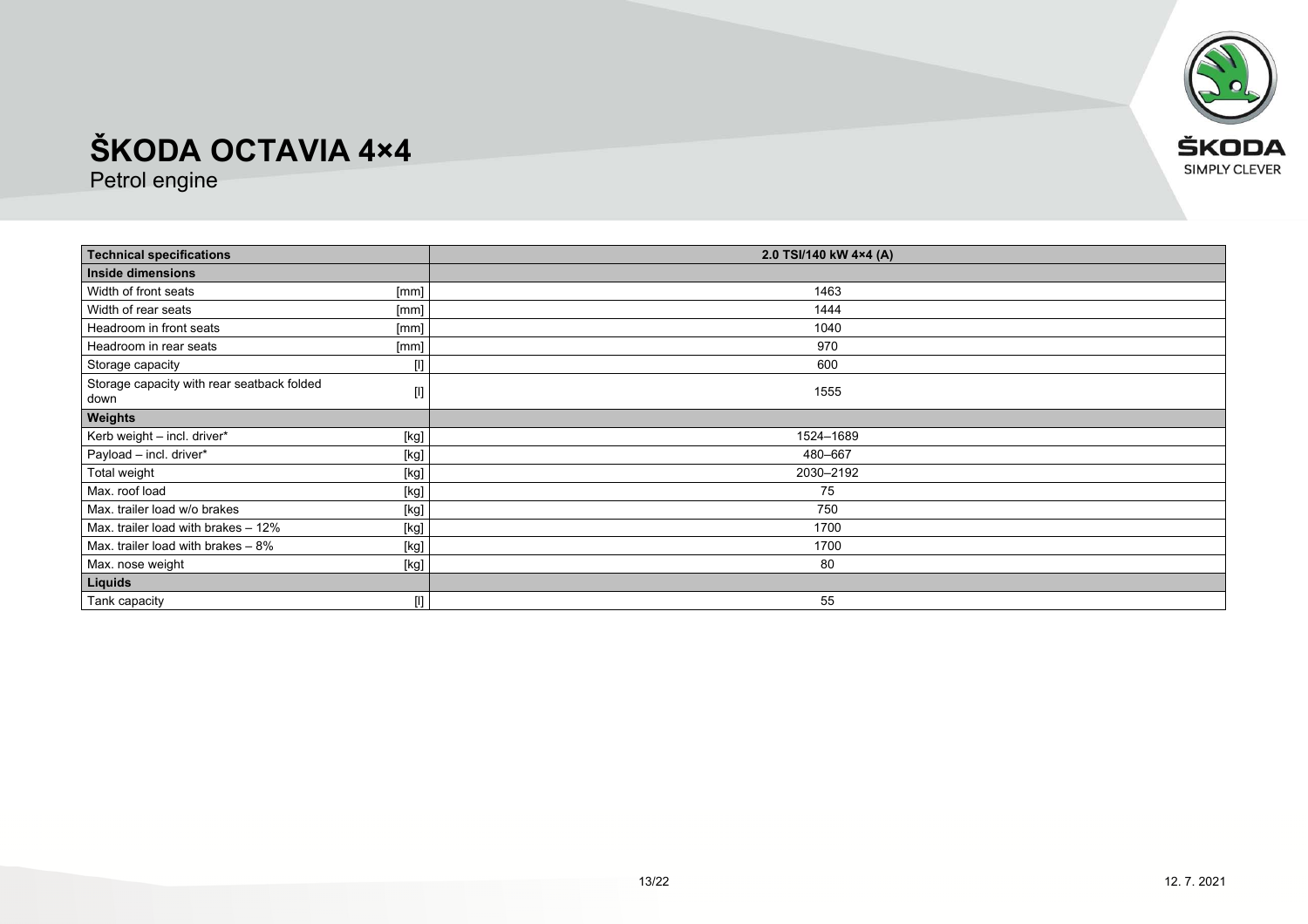

| <b>Technical specifications</b>                                                                                                                                                                                                                                                                                                                                                                                                                                                                                                                                                                                                                                                                            | 2.0 TSI/140 kW 4×4 (A) |
|------------------------------------------------------------------------------------------------------------------------------------------------------------------------------------------------------------------------------------------------------------------------------------------------------------------------------------------------------------------------------------------------------------------------------------------------------------------------------------------------------------------------------------------------------------------------------------------------------------------------------------------------------------------------------------------------------------|------------------------|
| Inside dimensions                                                                                                                                                                                                                                                                                                                                                                                                                                                                                                                                                                                                                                                                                          |                        |
| Width of front seats<br>[mm]                                                                                                                                                                                                                                                                                                                                                                                                                                                                                                                                                                                                                                                                               | 1463                   |
| Width of rear seats<br>[mm]                                                                                                                                                                                                                                                                                                                                                                                                                                                                                                                                                                                                                                                                                | 1444                   |
| Headroom in front seats<br>[mm]                                                                                                                                                                                                                                                                                                                                                                                                                                                                                                                                                                                                                                                                            | 1040                   |
| Headroom in rear seats<br>[mm]                                                                                                                                                                                                                                                                                                                                                                                                                                                                                                                                                                                                                                                                             | 970                    |
| Storage capacity                                                                                                                                                                                                                                                                                                                                                                                                                                                                                                                                                                                                                                                                                           | 600                    |
| Storage capacity with rear seatback folded<br>$[] \centering \includegraphics[width=0.47\textwidth]{figs/fig_14-1000}} \caption{The 3D (black) model for the 3D (black) model. The 3D (black) model is shown in Fig.~\ref{fig:13}.} \label{fig:13}$<br>down                                                                                                                                                                                                                                                                                                                                                                                                                                                | 1555                   |
| Weights                                                                                                                                                                                                                                                                                                                                                                                                                                                                                                                                                                                                                                                                                                    |                        |
| Kerb weight - incl. driver*<br>$[kg]$                                                                                                                                                                                                                                                                                                                                                                                                                                                                                                                                                                                                                                                                      | 1524-1689              |
| Payload - incl. driver*<br>$[kg]$                                                                                                                                                                                                                                                                                                                                                                                                                                                                                                                                                                                                                                                                          | 480-667                |
| Total weight<br>$[kg] % \begin{center} % \includegraphics[width=\linewidth]{imagesSupplemental_3.png} % \end{center} % \caption { % \textit{DefNet} of the \textit{DefNet} dataset. % Note that the \textit{DefNet} and \textit{DefNet} dataset. % Note that the \textit{DefNet} and \textit{DefNet} dataset. % Note that the \textit{DefNet} and \textit{DefNet} dataset. % Note that the \textit{DefNet} and \textit{DefNet} dataset. % Note that the \textit{DefNet} and \textit{DefNet} dataset. % Note that the \textit{DefNet} and \textit{DefNet} dataset. % Note that the \textit{DefNet} and \textit{DefNet} dataset. % Note that the \textit{DefNet} and \textit{DefNet$                         | 2030-2192              |
| Max. roof load<br>$[kg] % \begin{center} % \includegraphics[width=\linewidth]{imagesSupplemental/Imetad-Architecture.png} % \end{center} % \caption { % \textit{DefNet} of the \textit{DefNet} (M) and \textit{DefNet} (M) and \textit{DefNet} (M) are the \textit{DefNet} (M) and \textit{DefNet} (M) are the \textit{DefNet} (M) and \textit{DefNet} (M) are the \textit{DefNet} (M) and \textit{DefNet} (M) are the \textit{DefNet} (M) and \textit{DefNet} (M) are the \textit{DefNet} (M) and \textit{DefNet} (M) are the \textit{DefNet} (M) and \textit{DefNet} (M$                                                                                                                                 | 75                     |
| Max. trailer load w/o brakes<br>[kg]                                                                                                                                                                                                                                                                                                                                                                                                                                                                                                                                                                                                                                                                       | 750                    |
| Max. trailer load with brakes - 12%<br>$[kg]$                                                                                                                                                                                                                                                                                                                                                                                                                                                                                                                                                                                                                                                              | 1700                   |
| Max. trailer load with brakes $-8\%$<br>$[kg] % \begin{center} % \includegraphics[width=\linewidth]{imagesSupplemental_3.png} % \end{center} % \caption { % \textit{DefNet} of the \textit{DefNet} dataset. % Note that the \textit{DefNet} and \textit{DefNet} dataset. % Note that the \textit{DefNet} and \textit{DefNet} dataset. % Note that the \textit{DefNet} and \textit{DefNet} dataset. % Note that the \textit{DefNet} and \textit{DefNet} dataset. % Note that the \textit{DefNet} and \textit{DefNet} dataset. % Note that the \textit{DefNet} and \textit{DefNet} dataset. % Note that the \textit{DefNet} and \textit{DefNet} dataset. % Note that the \textit{DefNet} and \textit{DefNet$ | 1700                   |
| Max. nose weight<br>$[kg] % \begin{center} % \includegraphics[width=\linewidth]{imagesSupplemental_3.png} % \end{center} % \caption { % \textit{DefNet} of the \textit{DefNet} dataset. % Note that the \textit{DefNet} and \textit{DefNet} dataset. % Note that the \textit{DefNet} and \textit{DefNet} dataset. % Note that the \textit{DefNet} and \textit{DefNet} dataset. % Note that the \textit{DefNet} and \textit{DefNet} dataset. % Note that the \textit{DefNet} and \textit{DefNet} dataset. % Note that the \textit{DefNet} and \textit{DefNet} dataset. % Note that the \textit{DefNet} and \textit{DefNet} dataset. % Note that the \textit{DefNet} and \textit{DefNet$                     | 80                     |
| Liquids                                                                                                                                                                                                                                                                                                                                                                                                                                                                                                                                                                                                                                                                                                    |                        |
| $[]$<br>Tank capacity                                                                                                                                                                                                                                                                                                                                                                                                                                                                                                                                                                                                                                                                                      | 55                     |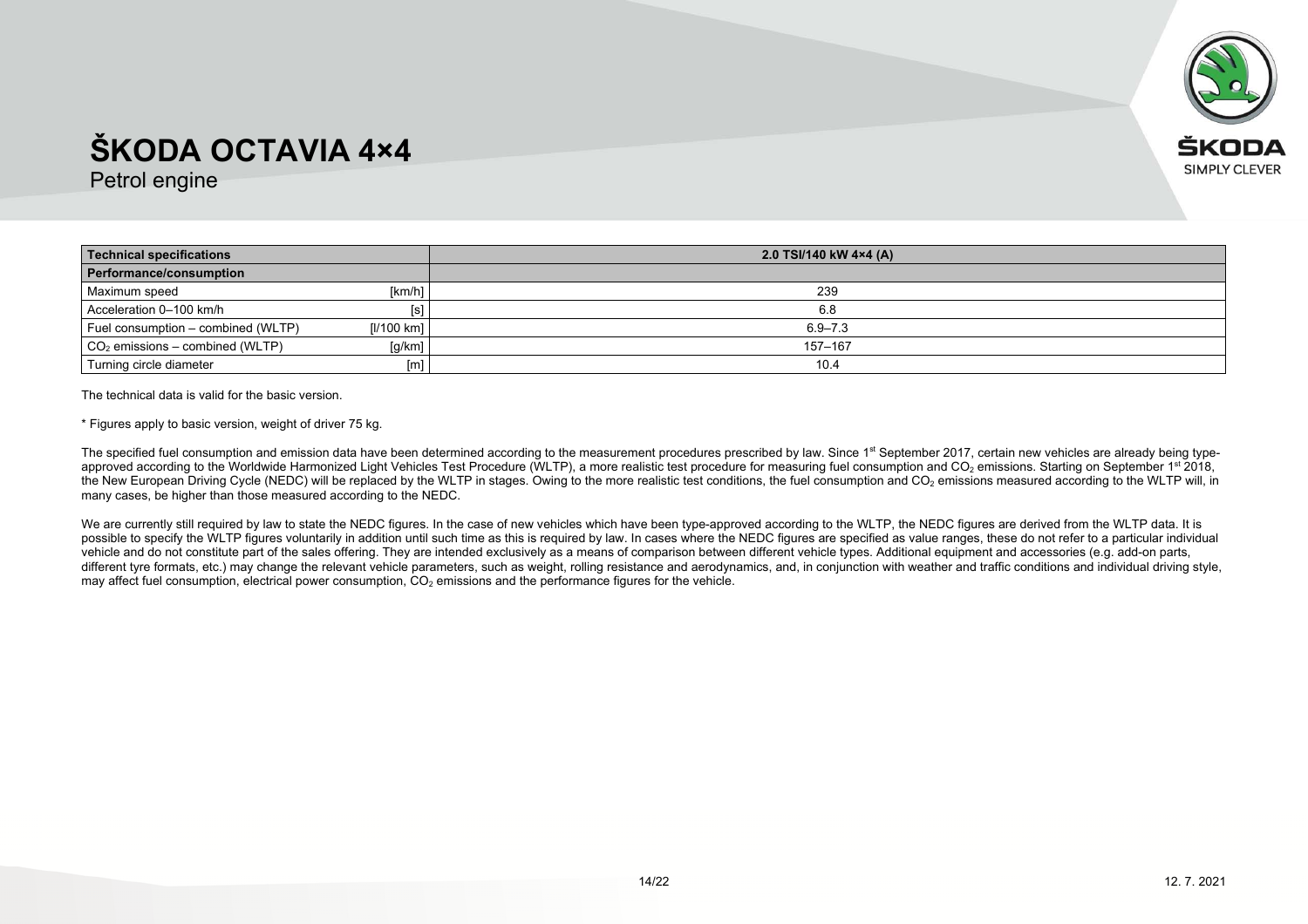

Petrol engine

| <b>Technical specifications</b>    |                | 2.0 TSI/140 kW 4×4 (A) |
|------------------------------------|----------------|------------------------|
| Performance/consumption            |                |                        |
| Maximum speed                      | [km/h]         | 239                    |
| Acceleration 0-100 km/h            | $[\mathsf{s}]$ | 6.8                    |
| Fuel consumption - combined (WLTP) | [I/100 km]     | $6.9 - 7.3$            |
| $CO2$ emissions – combined (WLTP)  | [g/km]         | 157-167                |
| Turning circle diameter            | [m]            | 10.4                   |

The technical data is valid for the basic version.

\* Figures apply to basic version, weight of driver 75 kg.

The specified fuel consumption and emission data have been determined according to the measurement procedures prescribed by law. Since 1<sup>st</sup> September 2017, certain new vehicles are already being typeapproved according to the Worldwide Harmonized Light Vehicles Test Procedure (WLTP), a more realistic test procedure for measuring fuel consumption and CO<sub>2</sub> emissions. Starting on September 1st 2018, the New European Driving Cycle (NEDC) will be replaced by the WLTP in stages. Owing to the more realistic test conditions, the fuel consumption and CO<sub>2</sub> emissions measured according to the WLTP will, in many cases, be higher than those measured according to the NEDC.

We are currently still required by law to state the NEDC figures. In the case of new vehicles which have been type-approved according to the WLTP, the NEDC figures are derived from the WLTP data. It is possible to specify the WLTP figures voluntarily in addition until such time as this is required by law. In cases where the NEDC figures are specified as value ranges, these do not refer to a particular individual vehicle and do not constitute part of the sales offering. They are intended exclusively as a means of comparison between different vehicle types. Additional equipment and accessories (e.g. add-on parts, different tyre formats, etc.) may change the relevant vehicle parameters, such as weight, rolling resistance and aerodynamics, and, in conjunction with weather and traffic conditions and individual driving style, may affect fuel consumption, electrical power consumption,  $CO<sub>2</sub>$  emissions and the performance figures for the vehicle.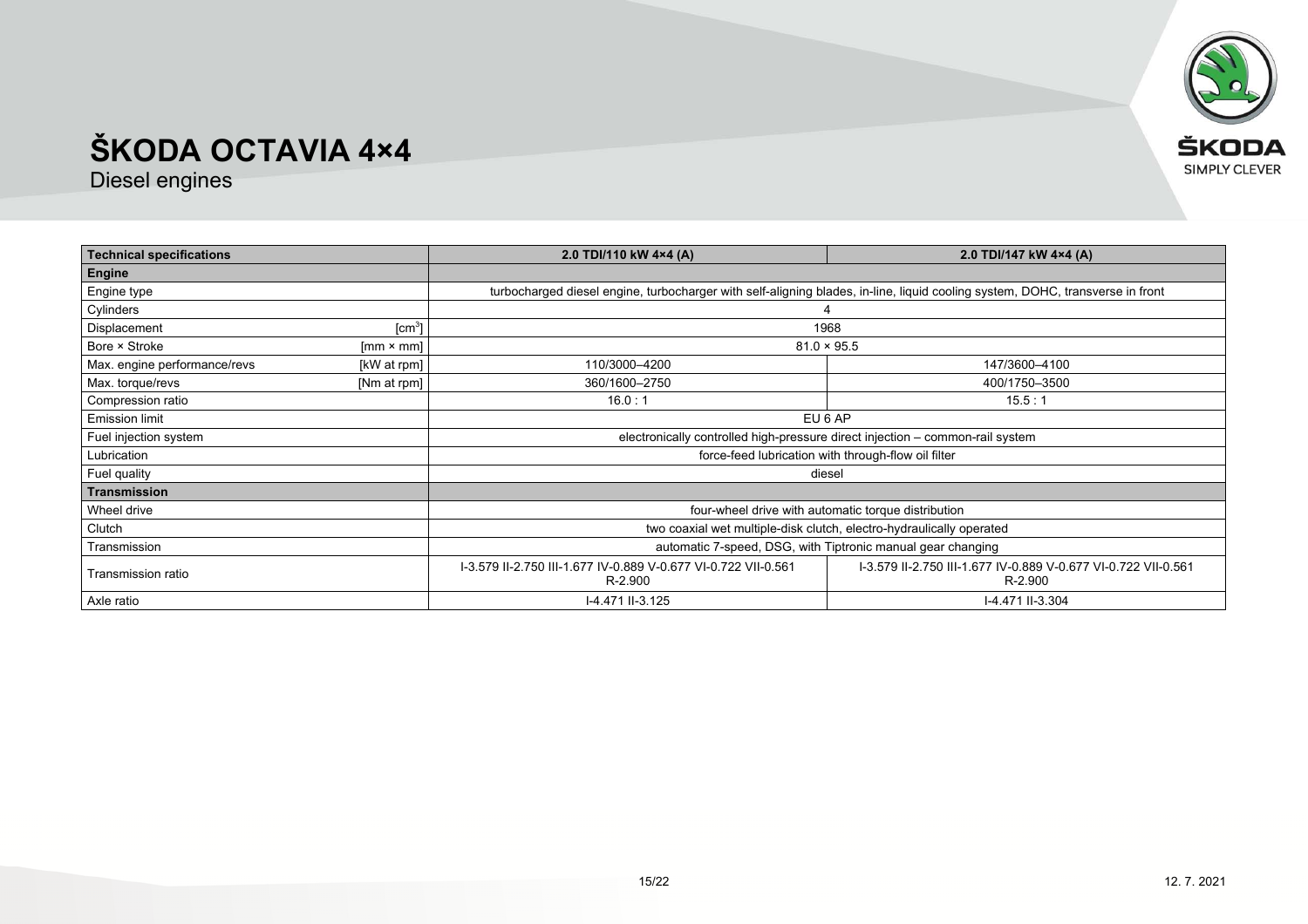

| <b>Technical specifications</b>                    |                    | 2.0 TDI/110 kW 4×4 (A)                                                                                                                                 | 2.0 TDI/147 kW 4×4 (A)                                                                                                        |
|----------------------------------------------------|--------------------|--------------------------------------------------------------------------------------------------------------------------------------------------------|-------------------------------------------------------------------------------------------------------------------------------|
| Engine                                             |                    |                                                                                                                                                        |                                                                                                                               |
| Engine type                                        |                    |                                                                                                                                                        | turbocharged diesel engine, turbocharger with self-aligning blades, in-line, liquid cooling system, DOHC, transverse in front |
| Cylinders                                          |                    |                                                                                                                                                        |                                                                                                                               |
| Displacement                                       | [cm <sup>3</sup> ] | 1968                                                                                                                                                   |                                                                                                                               |
| Bore × Stroke                                      | $[mm \times mm]$   | $81.0 \times 95.5$                                                                                                                                     |                                                                                                                               |
| Max. engine performance/revs                       | [kW at rpm]        | 110/3000-4200                                                                                                                                          | 147/3600-4100                                                                                                                 |
| Max. torque/revs                                   | [Nm at rpm]        | 360/1600-2750                                                                                                                                          | 400/1750-3500                                                                                                                 |
| Compression ratio                                  |                    | 16.0:1                                                                                                                                                 | 15.5:1                                                                                                                        |
| <b>Emission limit</b>                              |                    | EU 6 AP                                                                                                                                                |                                                                                                                               |
| Fuel injection system                              |                    | electronically controlled high-pressure direct injection - common-rail system                                                                          |                                                                                                                               |
| Lubrication                                        |                    | force-feed lubrication with through-flow oil filter                                                                                                    |                                                                                                                               |
| Fuel quality                                       |                    | diesel                                                                                                                                                 |                                                                                                                               |
| <b>Transmission</b>                                |                    |                                                                                                                                                        |                                                                                                                               |
| Wheel drive                                        |                    | four-wheel drive with automatic torque distribution                                                                                                    |                                                                                                                               |
| Clutch                                             |                    | two coaxial wet multiple-disk clutch, electro-hydraulically operated                                                                                   |                                                                                                                               |
| Transmission                                       |                    | automatic 7-speed, DSG, with Tiptronic manual gear changing                                                                                            |                                                                                                                               |
| Transmission ratio                                 |                    | I-3.579 II-2.750 III-1.677 IV-0.889 V-0.677 VI-0.722 VII-0.561<br>1-3.579 II-2.750 III-1.677 IV-0.889 V-0.677 VI-0.722 VII-0.561<br>R-2.900<br>R-2.900 |                                                                                                                               |
| Axle ratio<br>I-4.471 II-3.125<br>I-4.471 II-3.304 |                    |                                                                                                                                                        |                                                                                                                               |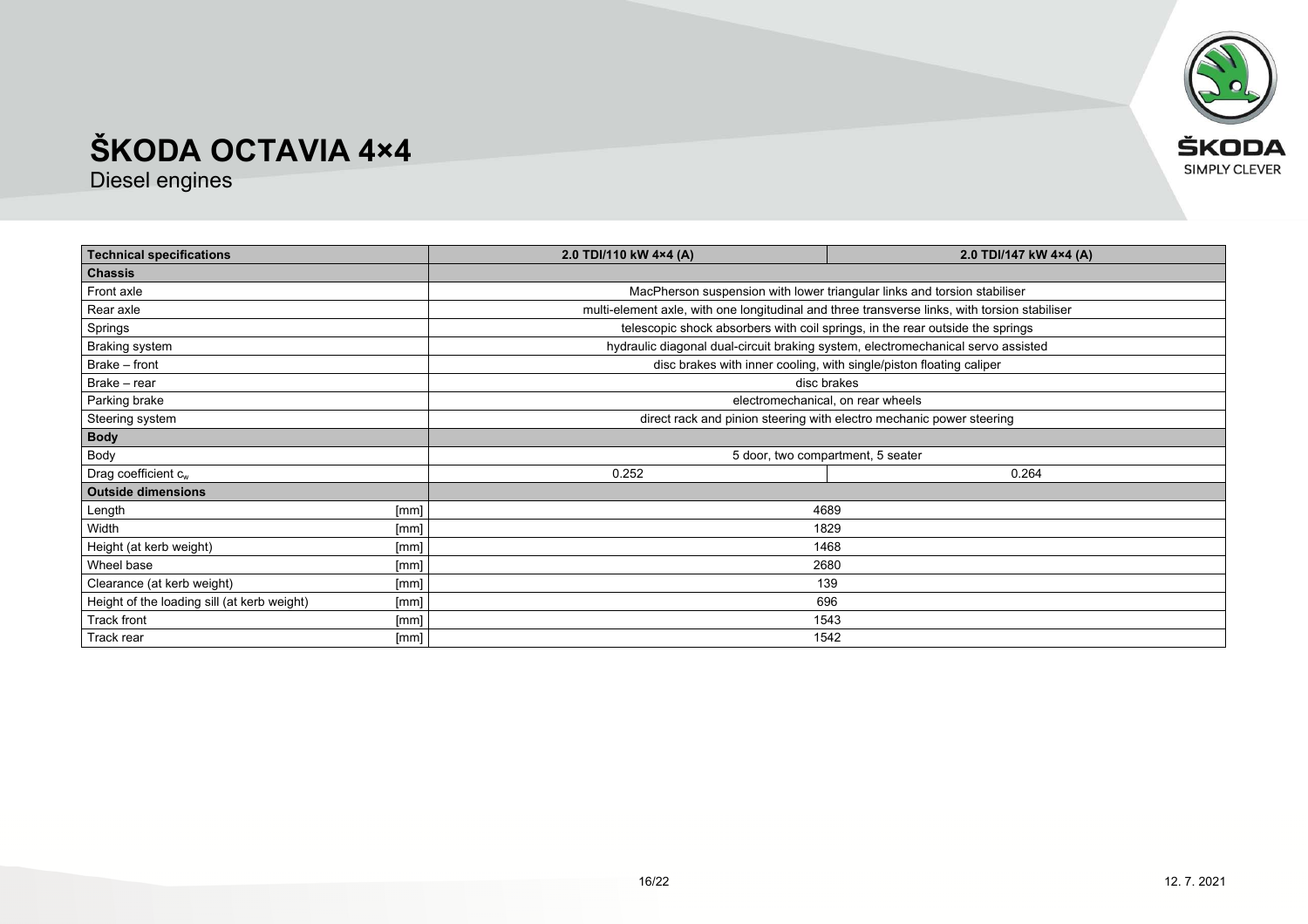

| <b>Technical specifications</b>             |      | 2.0 TDI/110 kW 4×4 (A)                                                                        | 2.0 TDI/147 kW 4×4 (A)                                                           |  |
|---------------------------------------------|------|-----------------------------------------------------------------------------------------------|----------------------------------------------------------------------------------|--|
| <b>Chassis</b>                              |      |                                                                                               |                                                                                  |  |
| Front axle                                  |      | MacPherson suspension with lower triangular links and torsion stabiliser                      |                                                                                  |  |
| Rear axle                                   |      | multi-element axle, with one longitudinal and three transverse links, with torsion stabiliser |                                                                                  |  |
| Springs                                     |      | telescopic shock absorbers with coil springs, in the rear outside the springs                 |                                                                                  |  |
| <b>Braking system</b>                       |      |                                                                                               | hydraulic diagonal dual-circuit braking system, electromechanical servo assisted |  |
| Brake - front                               |      |                                                                                               | disc brakes with inner cooling, with single/piston floating caliper              |  |
| Brake - rear                                |      |                                                                                               | disc brakes                                                                      |  |
| Parking brake                               |      | electromechanical, on rear wheels                                                             |                                                                                  |  |
| Steering system                             |      | direct rack and pinion steering with electro mechanic power steering                          |                                                                                  |  |
| <b>Body</b>                                 |      |                                                                                               |                                                                                  |  |
| Body                                        |      | 5 door, two compartment, 5 seater                                                             |                                                                                  |  |
| Drag coefficient $c_w$                      |      | 0.252                                                                                         | 0.264                                                                            |  |
| <b>Outside dimensions</b>                   |      |                                                                                               |                                                                                  |  |
| [mm]<br>Length                              |      | 4689                                                                                          |                                                                                  |  |
| Width<br>[mm]                               |      | 1829                                                                                          |                                                                                  |  |
| Height (at kerb weight)<br>[mm]             |      | 1468                                                                                          |                                                                                  |  |
| Wheel base<br>[mm]                          |      |                                                                                               | 2680                                                                             |  |
| Clearance (at kerb weight)                  | [mm] | 139                                                                                           |                                                                                  |  |
| Height of the loading sill (at kerb weight) | [mm] | 696                                                                                           |                                                                                  |  |
| Track front                                 | [mm] | 1543                                                                                          |                                                                                  |  |
| Track rear<br>[mm]                          |      | 1542                                                                                          |                                                                                  |  |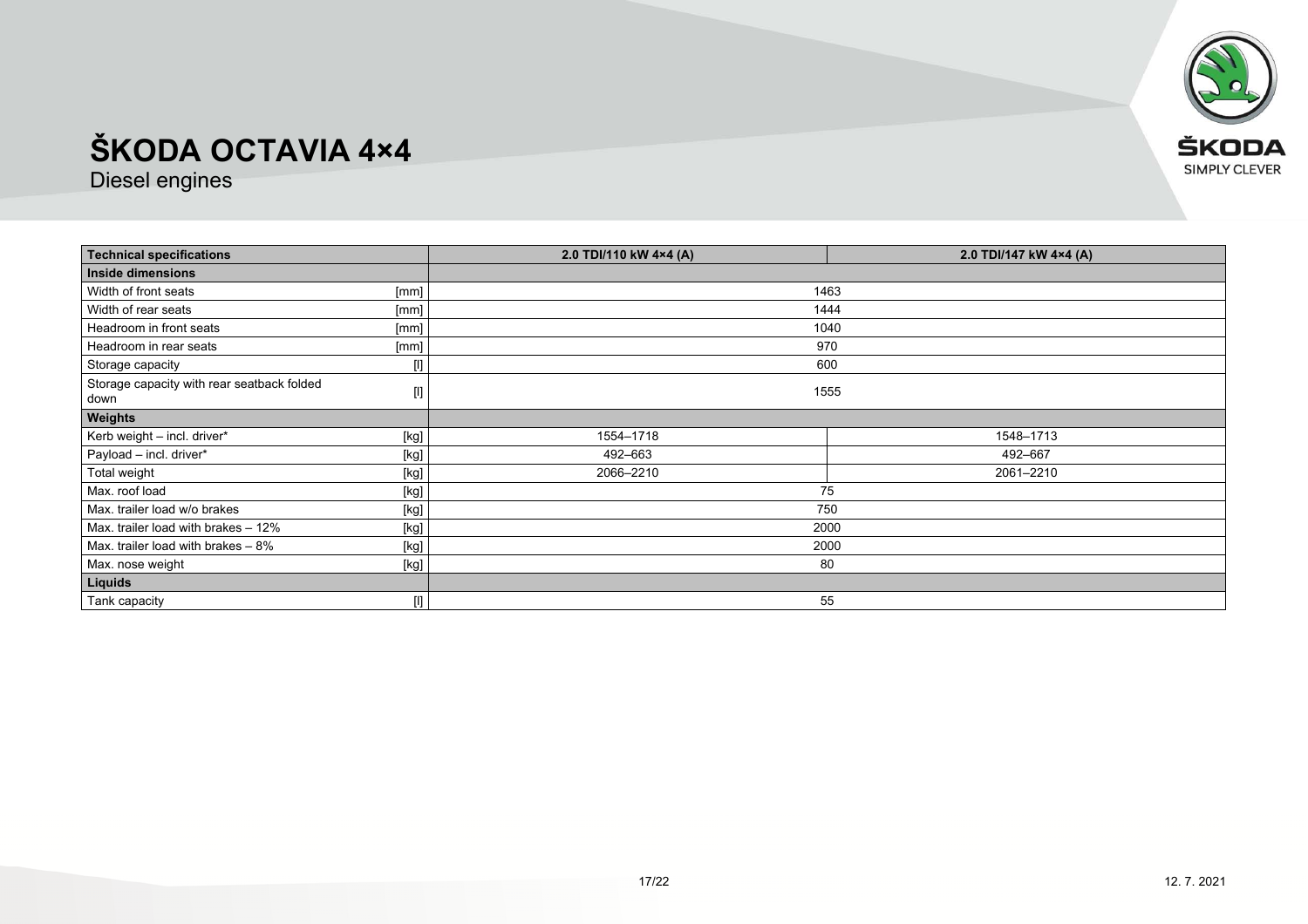

| <b>Technical specifications</b>                    |                                                                                                                                                                                                                                                                                                                                                                                                                                                                                                                                                                                                                                                                                              | 2.0 TDI/110 kW 4×4 (A)<br>2.0 TDI/147 kW 4×4 (A) |           |
|----------------------------------------------------|----------------------------------------------------------------------------------------------------------------------------------------------------------------------------------------------------------------------------------------------------------------------------------------------------------------------------------------------------------------------------------------------------------------------------------------------------------------------------------------------------------------------------------------------------------------------------------------------------------------------------------------------------------------------------------------------|--------------------------------------------------|-----------|
| Inside dimensions                                  |                                                                                                                                                                                                                                                                                                                                                                                                                                                                                                                                                                                                                                                                                              |                                                  |           |
| Width of front seats                               | [mm]                                                                                                                                                                                                                                                                                                                                                                                                                                                                                                                                                                                                                                                                                         | 1463                                             |           |
| Width of rear seats                                | [mm]                                                                                                                                                                                                                                                                                                                                                                                                                                                                                                                                                                                                                                                                                         | 1444                                             |           |
| Headroom in front seats                            | [mm]                                                                                                                                                                                                                                                                                                                                                                                                                                                                                                                                                                                                                                                                                         | 1040                                             |           |
| Headroom in rear seats                             | [mm]                                                                                                                                                                                                                                                                                                                                                                                                                                                                                                                                                                                                                                                                                         | 970                                              |           |
| Storage capacity                                   | $[] \centering \includegraphics[width=0.47\textwidth]{figs/fig_1002-1000}} \caption{The 1000 of the 1000 of the 1000 of the 1000 of the 1000 of the 1000 of the 1000 of the 1000 of the 1000 of the 1000 of the 1000 of the 1000 of the 1000 of the 1000 of the 1000 of the 1000 of the 1000 of the 1000 of the 1000 of the 1000 of the 1000 of the 1000 of the 1000 of the 1000 of the 1000 of the 1000 of the $                                                                                                                                                                                                                                                                            | 600                                              |           |
| Storage capacity with rear seatback folded<br>down | $[] \centering \includegraphics[width=0.47\textwidth]{figs/fig_1002-1000}} \caption{The 1000 of the 1000 of the 1000 of the 1000 of the 1000 of the 1000 of the 1000 of the 1000 of the 1000 of the 1000 of the 1000 of the 1000 of the 1000 of the 1000 of the 1000 of the 1000 of the 1000 of the 1000 of the 1000 of the 1000 of the 1000 of the 1000 of the 1000 of the 1000 of the 1000 of the 1000 of the $                                                                                                                                                                                                                                                                            | 1555                                             |           |
| <b>Weights</b>                                     |                                                                                                                                                                                                                                                                                                                                                                                                                                                                                                                                                                                                                                                                                              |                                                  |           |
| Kerb weight - incl. driver*                        | [kg]                                                                                                                                                                                                                                                                                                                                                                                                                                                                                                                                                                                                                                                                                         | 1554-1718                                        | 1548-1713 |
| Payload - incl. driver*                            | $[kg] % \begin{center} % \includegraphics[width=\linewidth]{imagesSupplemental/Imetad-Architecture.png} % \end{center} % \caption { % \begin{subfigure}[M5]{0.23\textwidth} \includegraphics[width=\linewidth]{imagesSupplemental/Imetad-Architecture.png} } % \end{subfigure} % \begin{subfigure}[M5]{0.23\textwidth} \includegraphics[width=\linewidth]{imagesSupplemental/Imetad-Architecture.png} } % \end{subfigure} % \caption { % \begin{subfigure}[M5]{0.23\textwidth} \includegraphics[width=\linewidth]{imagesSupplemental/Imetad-Architecture.png} } % \end{subfigure} % \caption{ % \begin{subfigure}[M5]{0.23\textwidth} \includegraphics[width=\linewidth]{imagesSupplemental$ | 492-663                                          | 492-667   |
| Total weight                                       | [kg]                                                                                                                                                                                                                                                                                                                                                                                                                                                                                                                                                                                                                                                                                         | 2066-2210                                        | 2061-2210 |
| Max. roof load                                     | [kg]                                                                                                                                                                                                                                                                                                                                                                                                                                                                                                                                                                                                                                                                                         | 75                                               |           |
| Max. trailer load w/o brakes                       | $[kg] % \begin{center} % \includegraphics[width=\linewidth]{imagesSupplemental_3.png} % \end{center} % \caption { % \textit{DefNet} of the \textit{DefNet} dataset. % Note that the \textit{DefNet} and \textit{DefNet} dataset. % Note that the \textit{DefNet} and \textit{DefNet} dataset. % Note that the \textit{DefNet} and \textit{DefNet} dataset. % Note that the \textit{DefNet} and \textit{DefNet} dataset. % Note that the \textit{DefNet} and \textit{DefNet} dataset. % Note that the \textit{DefNet} and \textit{DefNet} dataset. % Note that the \textit{DefNet} and \textit{DefNet} dataset. % Note that the \textit{DefNet} and \textit{DefNet$                           | 750                                              |           |
| Max. trailer load with brakes - 12%                | [kg]                                                                                                                                                                                                                                                                                                                                                                                                                                                                                                                                                                                                                                                                                         | 2000                                             |           |
| Max. trailer load with brakes - 8%                 | [kg]                                                                                                                                                                                                                                                                                                                                                                                                                                                                                                                                                                                                                                                                                         | 2000                                             |           |
| Max. nose weight                                   | [kg]                                                                                                                                                                                                                                                                                                                                                                                                                                                                                                                                                                                                                                                                                         | 80                                               |           |
| Liquids                                            |                                                                                                                                                                                                                                                                                                                                                                                                                                                                                                                                                                                                                                                                                              |                                                  |           |
| Tank capacity                                      | $[] \centering \includegraphics[width=0.47\textwidth]{images/TrDiM1-Architecture.png} \caption{The 3D (top) and 4D (bottom) are shown in the left and right.} \label{TrDiM1-Architecture}$                                                                                                                                                                                                                                                                                                                                                                                                                                                                                                   | 55                                               |           |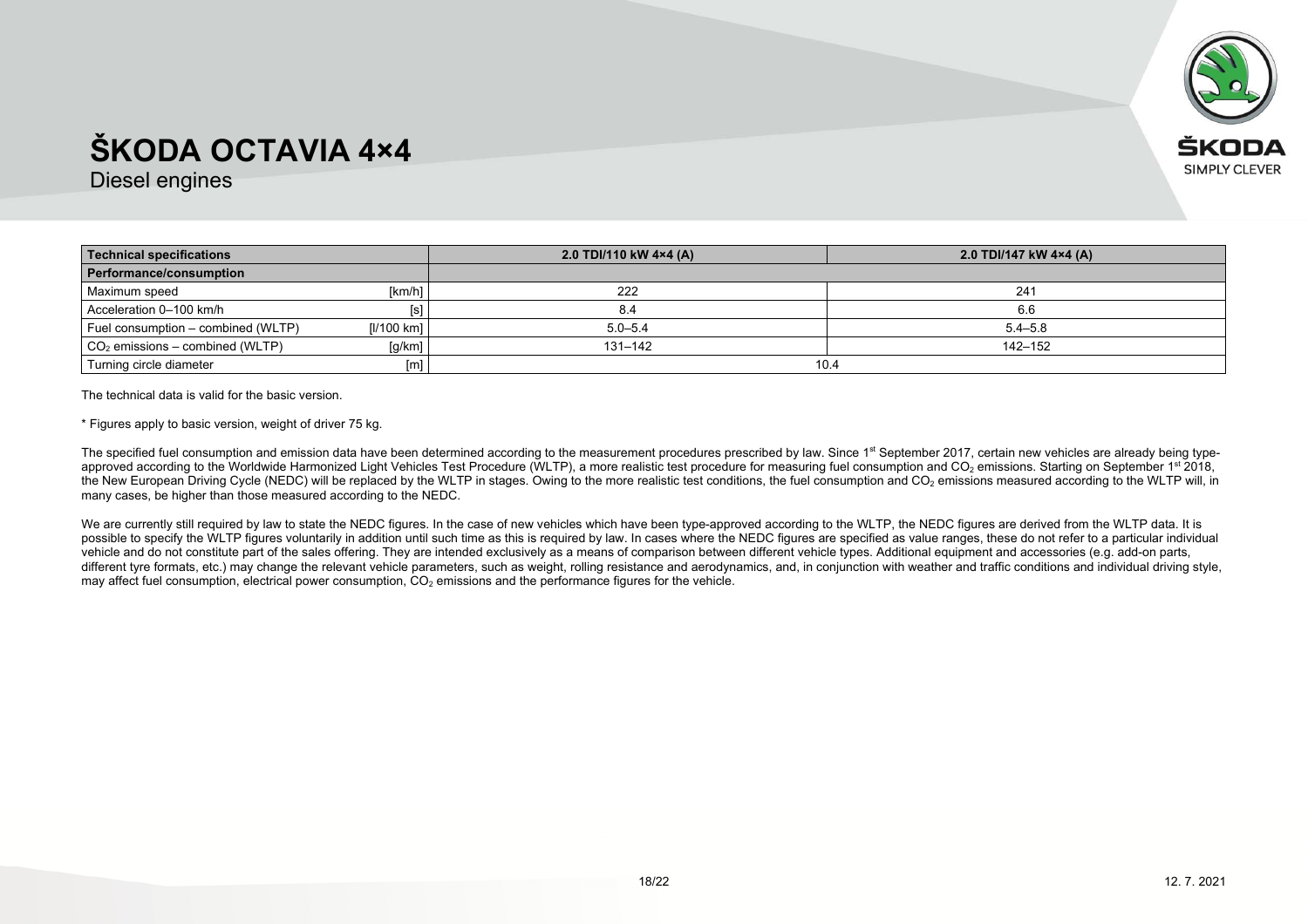

Diesel engines

| <b>Technical specifications</b>    |            | 2.0 TDI/110 kW 4×4 (A) | 2.0 TDI/147 kW 4×4 (A) |
|------------------------------------|------------|------------------------|------------------------|
| Performance/consumption            |            |                        |                        |
| Maximum speed                      | [km/h]     | 222                    | 241                    |
| Acceleration 0-100 km/h            |            |                        | 6.6                    |
| Fuel consumption – combined (WLTP) | [1/100 km] | $5.0 - 5.4$            | $5.4 - 5.8$            |
| $CO2$ emissions – combined (WLTP)  | [g/km]     | 131–142                | 142–152                |
| Turning circle diameter            | [m]        | 10.4                   |                        |

The technical data is valid for the basic version.

\* Figures apply to basic version, weight of driver 75 kg.

The specified fuel consumption and emission data have been determined according to the measurement procedures prescribed by law. Since 1<sup>st</sup> September 2017, certain new vehicles are already being typeapproved according to the Worldwide Harmonized Light Vehicles Test Procedure (WLTP), a more realistic test procedure for measuring fuel consumption and CO<sub>2</sub> emissions. Starting on September 1st 2018, the New European Driving Cycle (NEDC) will be replaced by the WLTP in stages. Owing to the more realistic test conditions, the fuel consumption and CO<sub>2</sub> emissions measured according to the WLTP will, in many cases, be higher than those measured according to the NEDC.

We are currently still required by law to state the NEDC figures. In the case of new vehicles which have been type-approved according to the WLTP, the NEDC figures are derived from the WLTP data. It is possible to specify the WLTP figures voluntarily in addition until such time as this is required by law. In cases where the NEDC figures are specified as value ranges, these do not refer to a particular individual vehicle and do not constitute part of the sales offering. They are intended exclusively as a means of comparison between different vehicle types. Additional equipment and accessories (e.g. add-on parts, different tyre formats, etc.) may change the relevant vehicle parameters, such as weight, rolling resistance and aerodynamics, and, in conjunction with weather and traffic conditions and individual driving style, may affect fuel consumption, electrical power consumption,  $CO<sub>2</sub>$  emissions and the performance figures for the vehicle.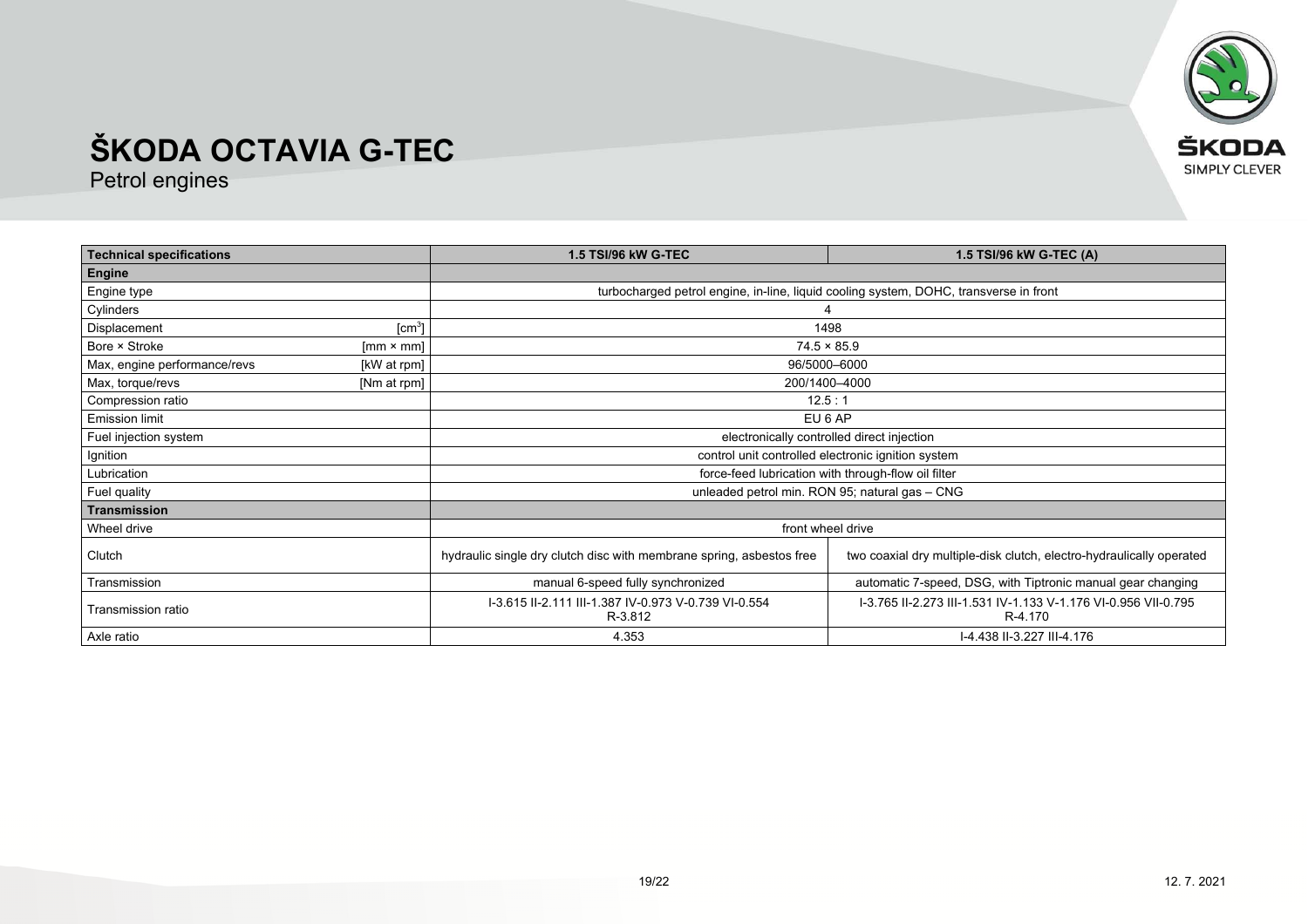

| <b>Technical specifications</b> |                    | <b>1.5 TSI/96 kW G-TEC</b>                                                                                                                   | 1.5 TSI/96 kW G-TEC (A)                                                   |  |
|---------------------------------|--------------------|----------------------------------------------------------------------------------------------------------------------------------------------|---------------------------------------------------------------------------|--|
| Engine                          |                    |                                                                                                                                              |                                                                           |  |
| Engine type                     |                    | turbocharged petrol engine, in-line, liquid cooling system, DOHC, transverse in front                                                        |                                                                           |  |
| Cylinders                       |                    |                                                                                                                                              |                                                                           |  |
| Displacement                    | [cm <sup>3</sup> ] |                                                                                                                                              | 1498                                                                      |  |
| Bore × Stroke                   | $[mm \times mm]$   |                                                                                                                                              | $74.5 \times 85.9$                                                        |  |
| Max, engine performance/revs    | [kW at rpm]        |                                                                                                                                              | 96/5000-6000                                                              |  |
| Max, torque/revs                | [Nm at rpm]        | 200/1400-4000                                                                                                                                |                                                                           |  |
| Compression ratio               |                    | 12.5:1                                                                                                                                       |                                                                           |  |
| <b>Emission limit</b>           |                    | EU 6 AP                                                                                                                                      |                                                                           |  |
| Fuel injection system           |                    | electronically controlled direct injection                                                                                                   |                                                                           |  |
| Ignition                        |                    | control unit controlled electronic ignition system                                                                                           |                                                                           |  |
| Lubrication                     |                    | force-feed lubrication with through-flow oil filter                                                                                          |                                                                           |  |
| Fuel quality                    |                    | unleaded petrol min. RON 95; natural gas - CNG                                                                                               |                                                                           |  |
| <b>Transmission</b>             |                    |                                                                                                                                              |                                                                           |  |
| Wheel drive                     |                    | front wheel drive                                                                                                                            |                                                                           |  |
| Clutch                          |                    | hydraulic single dry clutch disc with membrane spring, asbestos free<br>two coaxial dry multiple-disk clutch, electro-hydraulically operated |                                                                           |  |
| Transmission                    |                    | manual 6-speed fully synchronized                                                                                                            | automatic 7-speed, DSG, with Tiptronic manual gear changing               |  |
| Transmission ratio              |                    | I-3.615 II-2.111 III-1.387 IV-0.973 V-0.739 VI-0.554<br>R-3.812                                                                              | I-3.765 II-2.273 III-1.531 IV-1.133 V-1.176 VI-0.956 VII-0.795<br>R-4.170 |  |
| Axle ratio                      |                    | 4.353<br>I-4.438 II-3.227 III-4.176                                                                                                          |                                                                           |  |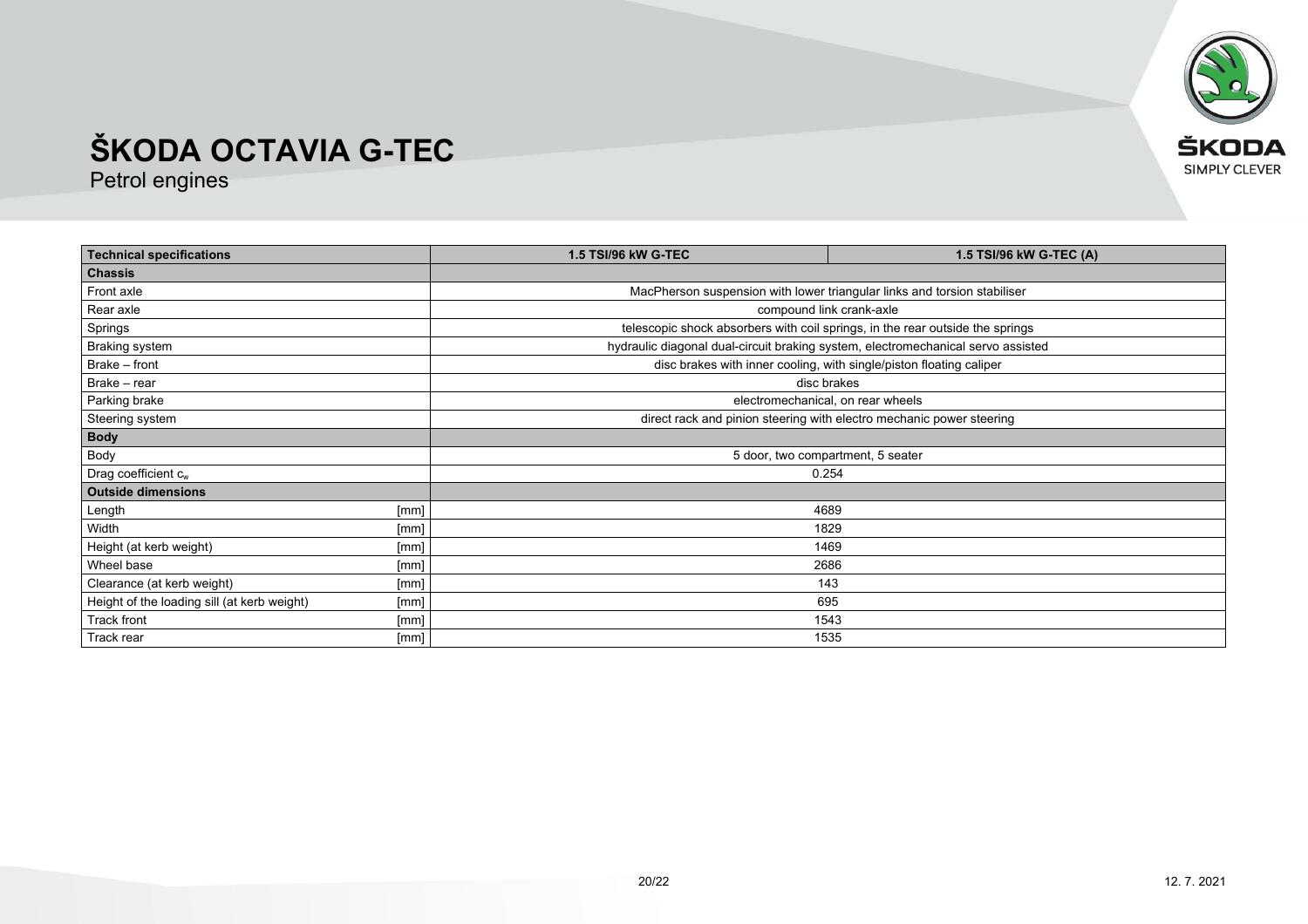

| <b>Technical specifications</b>             |              | <b>1.5 TSI/96 kW G-TEC</b>                                                       | 1.5 TSI/96 kW G-TEC (A)                                             |  |
|---------------------------------------------|--------------|----------------------------------------------------------------------------------|---------------------------------------------------------------------|--|
| <b>Chassis</b>                              |              |                                                                                  |                                                                     |  |
| Front axle                                  |              | MacPherson suspension with lower triangular links and torsion stabiliser         |                                                                     |  |
| Rear axle                                   |              | compound link crank-axle                                                         |                                                                     |  |
| Springs                                     |              | telescopic shock absorbers with coil springs, in the rear outside the springs    |                                                                     |  |
| <b>Braking system</b>                       |              | hydraulic diagonal dual-circuit braking system, electromechanical servo assisted |                                                                     |  |
| Brake - front                               |              |                                                                                  | disc brakes with inner cooling, with single/piston floating caliper |  |
| Brake - rear                                |              | disc brakes                                                                      |                                                                     |  |
| Parking brake                               |              |                                                                                  | electromechanical, on rear wheels                                   |  |
| Steering system                             |              | direct rack and pinion steering with electro mechanic power steering             |                                                                     |  |
| <b>Body</b>                                 |              |                                                                                  |                                                                     |  |
| Body                                        |              | 5 door, two compartment, 5 seater                                                |                                                                     |  |
| Drag coefficient $c_w$                      |              | 0.254                                                                            |                                                                     |  |
| <b>Outside dimensions</b>                   |              |                                                                                  |                                                                     |  |
| Length                                      | 4689<br>[mm] |                                                                                  |                                                                     |  |
| Width                                       | [mm]         | 1829                                                                             |                                                                     |  |
| Height (at kerb weight)                     | [mm]         | 1469                                                                             |                                                                     |  |
| Wheel base                                  | [mm]         | 2686                                                                             |                                                                     |  |
| Clearance (at kerb weight)                  | [mm]         | 143                                                                              |                                                                     |  |
| Height of the loading sill (at kerb weight) | [mm]         | 695                                                                              |                                                                     |  |
| Track front                                 | [mm]         | 1543                                                                             |                                                                     |  |
| Track rear                                  | [mm]         | 1535                                                                             |                                                                     |  |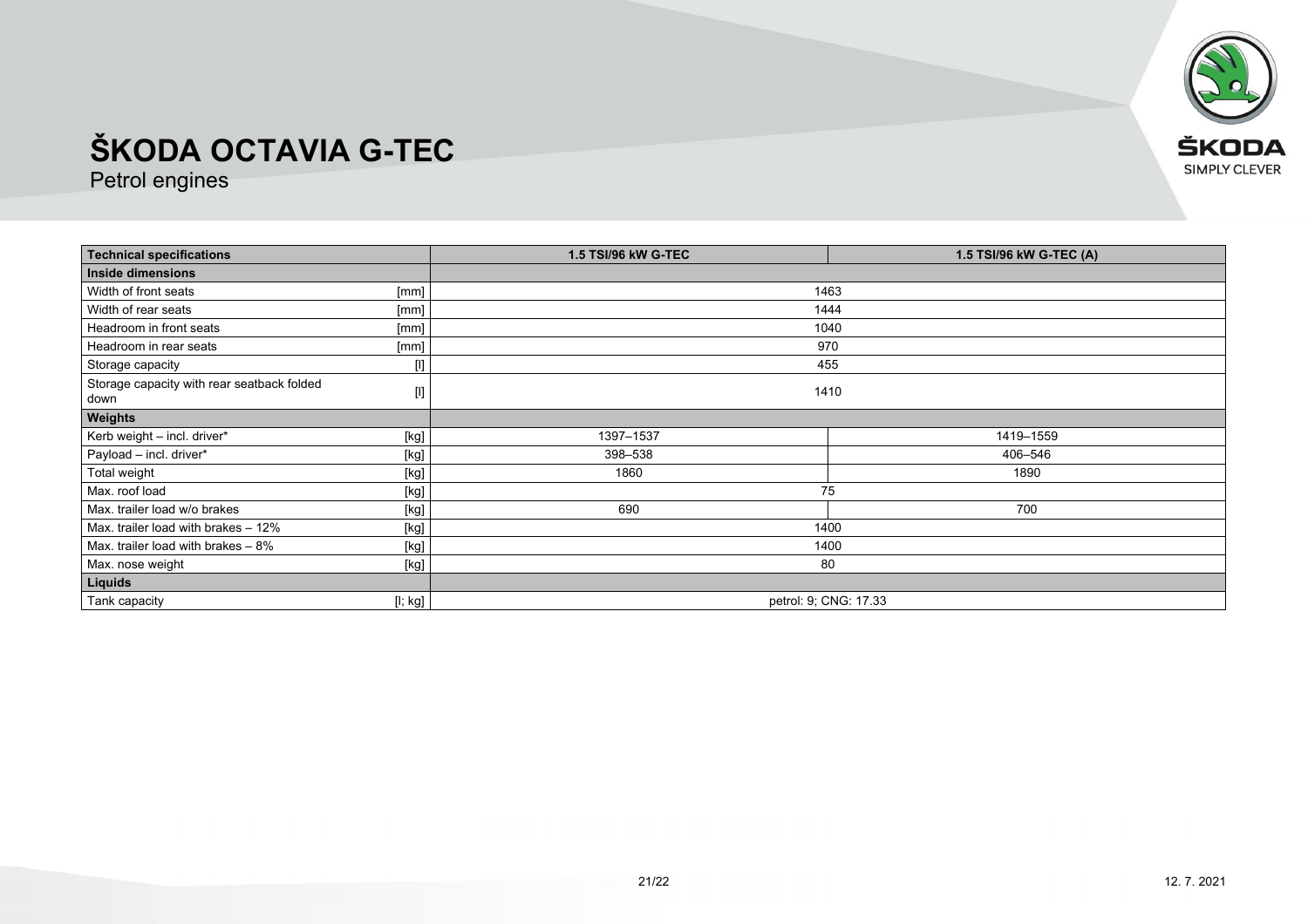

| <b>Technical specifications</b>                    |                                                                                                                                                                                                                                                                                                                                                                                                                                                                                                                                                                                                                                                                                              | <b>1.5 TSI/96 kW G-TEC</b><br>1.5 TSI/96 kW G-TEC (A) |           |
|----------------------------------------------------|----------------------------------------------------------------------------------------------------------------------------------------------------------------------------------------------------------------------------------------------------------------------------------------------------------------------------------------------------------------------------------------------------------------------------------------------------------------------------------------------------------------------------------------------------------------------------------------------------------------------------------------------------------------------------------------------|-------------------------------------------------------|-----------|
| <b>Inside dimensions</b>                           |                                                                                                                                                                                                                                                                                                                                                                                                                                                                                                                                                                                                                                                                                              |                                                       |           |
| Width of front seats                               | [mm]                                                                                                                                                                                                                                                                                                                                                                                                                                                                                                                                                                                                                                                                                         |                                                       | 1463      |
| Width of rear seats                                | [mm]                                                                                                                                                                                                                                                                                                                                                                                                                                                                                                                                                                                                                                                                                         |                                                       | 1444      |
| Headroom in front seats                            | [mm]                                                                                                                                                                                                                                                                                                                                                                                                                                                                                                                                                                                                                                                                                         |                                                       | 1040      |
| Headroom in rear seats                             | [mm]                                                                                                                                                                                                                                                                                                                                                                                                                                                                                                                                                                                                                                                                                         |                                                       | 970       |
| Storage capacity                                   | $[] \centering \includegraphics[width=0.47\textwidth]{figs/fig_14-1000}} \caption{The 3D (black) model for the 3D (black) model. The 3D (black) model is shown in Fig.~\ref{fig:13}.} \label{fig:13}$                                                                                                                                                                                                                                                                                                                                                                                                                                                                                        |                                                       | 455       |
| Storage capacity with rear seatback folded<br>down | $[] \centering \includegraphics[width=0.47\textwidth]{figs/fig_14-1000}} \caption{The 3D (black) model for the 3D (black) model. The 3D (black) model is shown in Fig.~\ref{fig:13}.} \label{fig:13}$                                                                                                                                                                                                                                                                                                                                                                                                                                                                                        | 1410                                                  |           |
| Weights                                            |                                                                                                                                                                                                                                                                                                                                                                                                                                                                                                                                                                                                                                                                                              |                                                       |           |
| Kerb weight - incl. driver*                        | [kg]                                                                                                                                                                                                                                                                                                                                                                                                                                                                                                                                                                                                                                                                                         | 1397-1537                                             | 1419-1559 |
| Payload - incl. driver*                            | $[kg] % \begin{center} % \includegraphics[width=\linewidth]{imagesSupplemental/Imetad-Architecture.png} % \end{center} % \caption { % \begin{subfigure}[M5]{0.23\textwidth} \includegraphics[width=\linewidth]{imagesSupplemental/Imetad-Architecture.png} } % \end{subfigure} % \begin{subfigure}[M5]{0.23\textwidth} \includegraphics[width=\linewidth]{imagesSupplemental/Imetad-Architecture.png} } % \end{subfigure} % \caption { % \begin{subfigure}[M5]{0.23\textwidth} \includegraphics[width=\linewidth]{imagesSupplemental/Imetad-Architecture.png} } % \end{subfigure} % \caption{ % \begin{subfigure}[M5]{0.23\textwidth} \includegraphics[width=\linewidth]{imagesSupplemental$ | 398-538                                               | 406-546   |
| Total weight                                       | $[kg] % \begin{center} % \includegraphics[width=\linewidth]{imagesSupplemental_3.png} % \end{center} % \caption { % \textit{DefNet} of the \textit{DefNet} dataset. % Note that the \textit{DefNet} and \textit{DefNet} dataset. % Note that the \textit{DefNet} and \textit{DefNet} dataset. % Note that the \textit{DefNet} and \textit{DefNet} dataset. % Note that the \textit{DefNet} and \textit{DefNet} dataset. % Note that the \textit{DefNet} and \textit{DefNet} dataset. % Note that the \textit{DefNet} and \textit{DefNet} dataset. % Note that the \textit{DefNet} and \textit{DefNet} dataset. % Note that the \textit{DefNet} and \textit{DefNet$                           | 1860                                                  | 1890      |
| Max. roof load                                     | [kg]                                                                                                                                                                                                                                                                                                                                                                                                                                                                                                                                                                                                                                                                                         | 75                                                    |           |
| Max. trailer load w/o brakes                       | $[kg] % \begin{center} % \includegraphics[width=\linewidth]{imagesSupplemental_3.png} % \end{center} % \caption { % \textit{DefNet} of the \textit{DefNet} dataset. % Note that the \textit{DefNet} and \textit{DefNet} dataset. % Note that the \textit{DefNet} and \textit{DefNet} dataset. % Note that the \textit{DefNet} and \textit{DefNet} dataset. % Note that the \textit{DefNet} and \textit{DefNet} dataset. % Note that the \textit{DefNet} and \textit{DefNet} dataset. % Note that the \textit{DefNet} and \textit{DefNet} dataset. % Note that the \textit{DefNet} and \textit{DefNet} dataset. % Note that the \textit{DefNet} and \textit{DefNet$                           | 690                                                   | 700       |
| Max. trailer load with brakes - 12%                | [kg]                                                                                                                                                                                                                                                                                                                                                                                                                                                                                                                                                                                                                                                                                         | 1400                                                  |           |
| Max. trailer load with brakes $-8\%$               | $[kg] % \begin{center} % \includegraphics[width=\linewidth]{imagesSupplemental_3.png} % \end{center} % \caption { % \textit{DefNet} of the \textit{DefNet} dataset. % Note that the \textit{DefNet} and \textit{DefNet} dataset. % Note that the \textit{DefNet} and \textit{DefNet} dataset. % Note that the \textit{DefNet} and \textit{DefNet} dataset. % Note that the \textit{DefNet} and \textit{DefNet} dataset. % Note that the \textit{DefNet} and \textit{DefNet} dataset. % Note that the \textit{DefNet} and \textit{DefNet} dataset. % Note that the \textit{DefNet} and \textit{DefNet} dataset. % Note that the \textit{DefNet} and \textit{DefNet$                           | 1400                                                  |           |
| Max. nose weight                                   | [kg]                                                                                                                                                                                                                                                                                                                                                                                                                                                                                                                                                                                                                                                                                         | 80                                                    |           |
| Liquids                                            |                                                                                                                                                                                                                                                                                                                                                                                                                                                                                                                                                                                                                                                                                              |                                                       |           |
| Tank capacity                                      | [l; kg]                                                                                                                                                                                                                                                                                                                                                                                                                                                                                                                                                                                                                                                                                      | petrol: 9, CNG: 17.33                                 |           |